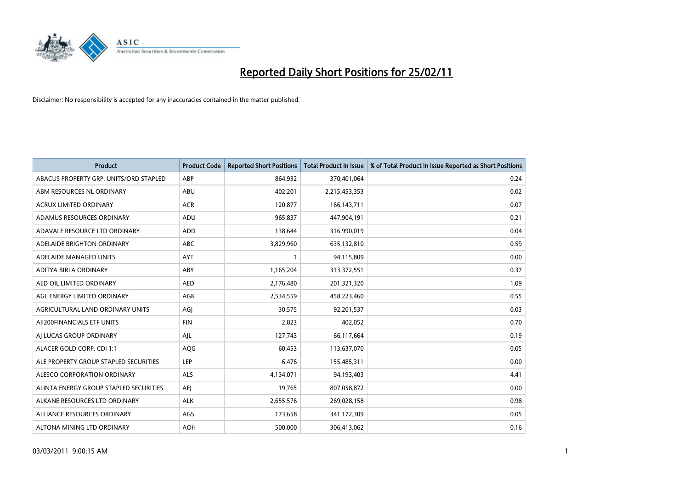

| Product                                | <b>Product Code</b> | <b>Reported Short Positions</b> | <b>Total Product in Issue</b> | % of Total Product in Issue Reported as Short Positions |
|----------------------------------------|---------------------|---------------------------------|-------------------------------|---------------------------------------------------------|
| ABACUS PROPERTY GRP. UNITS/ORD STAPLED | ABP                 | 864,932                         | 370,401,064                   | 0.24                                                    |
| ABM RESOURCES NL ORDINARY              | ABU                 | 402,201                         | 2,215,453,353                 | 0.02                                                    |
| ACRUX LIMITED ORDINARY                 | <b>ACR</b>          | 120,877                         | 166, 143, 711                 | 0.07                                                    |
| ADAMUS RESOURCES ORDINARY              | ADU                 | 965,837                         | 447,904,191                   | 0.21                                                    |
| ADAVALE RESOURCE LTD ORDINARY          | <b>ADD</b>          | 138,644                         | 316,990,019                   | 0.04                                                    |
| ADELAIDE BRIGHTON ORDINARY             | <b>ABC</b>          | 3,829,960                       | 635,132,810                   | 0.59                                                    |
| ADELAIDE MANAGED UNITS                 | <b>AYT</b>          |                                 | 94,115,809                    | 0.00                                                    |
| ADITYA BIRLA ORDINARY                  | ABY                 | 1,165,204                       | 313,372,551                   | 0.37                                                    |
| AED OIL LIMITED ORDINARY               | <b>AED</b>          | 2,176,480                       | 201,321,320                   | 1.09                                                    |
| AGL ENERGY LIMITED ORDINARY            | AGK                 | 2,534,559                       | 458,223,460                   | 0.55                                                    |
| AGRICULTURAL LAND ORDINARY UNITS       | AGI                 | 30,575                          | 92,201,537                    | 0.03                                                    |
| AII200FINANCIALS ETF UNITS             | <b>FIN</b>          | 2,823                           | 402,052                       | 0.70                                                    |
| AI LUCAS GROUP ORDINARY                | AJL                 | 127,743                         | 66,117,664                    | 0.19                                                    |
| ALACER GOLD CORP. CDI 1:1              | AQG                 | 60,453                          | 113,637,070                   | 0.05                                                    |
| ALE PROPERTY GROUP STAPLED SECURITIES  | LEP                 | 6,476                           | 155,485,311                   | 0.00                                                    |
| ALESCO CORPORATION ORDINARY            | <b>ALS</b>          | 4,134,071                       | 94,193,403                    | 4.41                                                    |
| ALINTA ENERGY GROUP STAPLED SECURITIES | <b>AEI</b>          | 19,765                          | 807,058,872                   | 0.00                                                    |
| ALKANE RESOURCES LTD ORDINARY          | <b>ALK</b>          | 2,655,576                       | 269,028,158                   | 0.98                                                    |
| ALLIANCE RESOURCES ORDINARY            | AGS                 | 173,658                         | 341,172,309                   | 0.05                                                    |
| ALTONA MINING LTD ORDINARY             | <b>AOH</b>          | 500.000                         | 306,413,062                   | 0.16                                                    |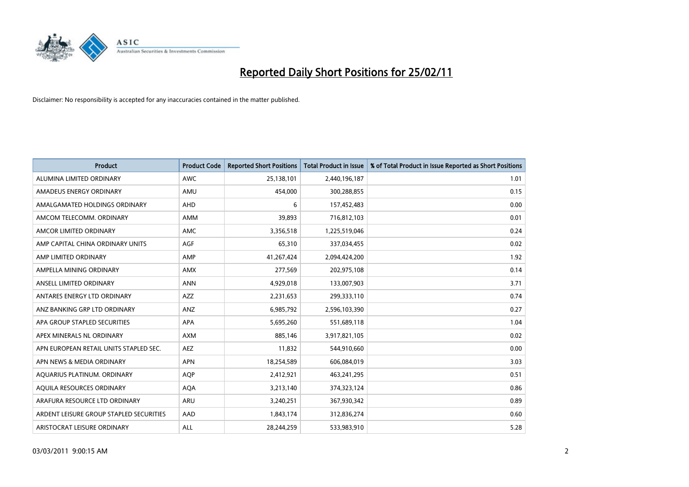

| <b>Product</b>                          | <b>Product Code</b> | <b>Reported Short Positions</b> | <b>Total Product in Issue</b> | % of Total Product in Issue Reported as Short Positions |
|-----------------------------------------|---------------------|---------------------------------|-------------------------------|---------------------------------------------------------|
| ALUMINA LIMITED ORDINARY                | <b>AWC</b>          | 25,138,101                      | 2,440,196,187                 | 1.01                                                    |
| AMADEUS ENERGY ORDINARY                 | AMU                 | 454,000                         | 300,288,855                   | 0.15                                                    |
| AMALGAMATED HOLDINGS ORDINARY           | AHD                 | 6                               | 157,452,483                   | 0.00                                                    |
| AMCOM TELECOMM. ORDINARY                | <b>AMM</b>          | 39,893                          | 716,812,103                   | 0.01                                                    |
| AMCOR LIMITED ORDINARY                  | <b>AMC</b>          | 3,356,518                       | 1,225,519,046                 | 0.24                                                    |
| AMP CAPITAL CHINA ORDINARY UNITS        | <b>AGF</b>          | 65,310                          | 337,034,455                   | 0.02                                                    |
| AMP LIMITED ORDINARY                    | AMP                 | 41,267,424                      | 2,094,424,200                 | 1.92                                                    |
| AMPELLA MINING ORDINARY                 | <b>AMX</b>          | 277,569                         | 202,975,108                   | 0.14                                                    |
| ANSELL LIMITED ORDINARY                 | <b>ANN</b>          | 4,929,018                       | 133,007,903                   | 3.71                                                    |
| ANTARES ENERGY LTD ORDINARY             | <b>AZZ</b>          | 2,231,653                       | 299,333,110                   | 0.74                                                    |
| ANZ BANKING GRP LTD ORDINARY            | ANZ                 | 6,985,792                       | 2,596,103,390                 | 0.27                                                    |
| APA GROUP STAPLED SECURITIES            | <b>APA</b>          | 5,695,260                       | 551,689,118                   | 1.04                                                    |
| APEX MINERALS NL ORDINARY               | <b>AXM</b>          | 885,146                         | 3,917,821,105                 | 0.02                                                    |
| APN EUROPEAN RETAIL UNITS STAPLED SEC.  | <b>AEZ</b>          | 11,832                          | 544,910,660                   | 0.00                                                    |
| APN NEWS & MEDIA ORDINARY               | <b>APN</b>          | 18,254,589                      | 606,084,019                   | 3.03                                                    |
| AQUARIUS PLATINUM. ORDINARY             | <b>AOP</b>          | 2,412,921                       | 463,241,295                   | 0.51                                                    |
| AQUILA RESOURCES ORDINARY               | <b>AQA</b>          | 3,213,140                       | 374,323,124                   | 0.86                                                    |
| ARAFURA RESOURCE LTD ORDINARY           | <b>ARU</b>          | 3,240,251                       | 367,930,342                   | 0.89                                                    |
| ARDENT LEISURE GROUP STAPLED SECURITIES | AAD                 | 1,843,174                       | 312,836,274                   | 0.60                                                    |
| ARISTOCRAT LEISURE ORDINARY             | ALL                 | 28.244.259                      | 533,983,910                   | 5.28                                                    |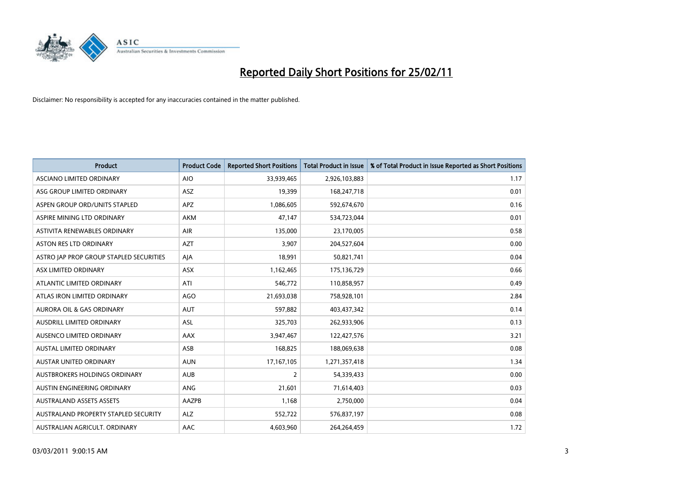

| Product                                 | <b>Product Code</b> | <b>Reported Short Positions</b> | <b>Total Product in Issue</b> | % of Total Product in Issue Reported as Short Positions |
|-----------------------------------------|---------------------|---------------------------------|-------------------------------|---------------------------------------------------------|
| ASCIANO LIMITED ORDINARY                | <b>AIO</b>          | 33,939,465                      | 2,926,103,883                 | 1.17                                                    |
| ASG GROUP LIMITED ORDINARY              | ASZ                 | 19,399                          | 168,247,718                   | 0.01                                                    |
| ASPEN GROUP ORD/UNITS STAPLED           | <b>APZ</b>          | 1,086,605                       | 592,674,670                   | 0.16                                                    |
| ASPIRE MINING LTD ORDINARY              | <b>AKM</b>          | 47,147                          | 534,723,044                   | 0.01                                                    |
| ASTIVITA RENEWABLES ORDINARY            | AIR                 | 135,000                         | 23,170,005                    | 0.58                                                    |
| <b>ASTON RES LTD ORDINARY</b>           | <b>AZT</b>          | 3,907                           | 204,527,604                   | 0.00                                                    |
| ASTRO JAP PROP GROUP STAPLED SECURITIES | AJA                 | 18,991                          | 50,821,741                    | 0.04                                                    |
| ASX LIMITED ORDINARY                    | ASX                 | 1,162,465                       | 175,136,729                   | 0.66                                                    |
| ATLANTIC LIMITED ORDINARY               | ATI                 | 546,772                         | 110,858,957                   | 0.49                                                    |
| ATLAS IRON LIMITED ORDINARY             | <b>AGO</b>          | 21,693,038                      | 758,928,101                   | 2.84                                                    |
| AURORA OIL & GAS ORDINARY               | <b>AUT</b>          | 597,882                         | 403,437,342                   | 0.14                                                    |
| AUSDRILL LIMITED ORDINARY               | ASL                 | 325,703                         | 262,933,906                   | 0.13                                                    |
| AUSENCO LIMITED ORDINARY                | AAX                 | 3,947,467                       | 122,427,576                   | 3.21                                                    |
| <b>AUSTAL LIMITED ORDINARY</b>          | ASB                 | 168,825                         | 188,069,638                   | 0.08                                                    |
| <b>AUSTAR UNITED ORDINARY</b>           | <b>AUN</b>          | 17,167,105                      | 1,271,357,418                 | 1.34                                                    |
| AUSTBROKERS HOLDINGS ORDINARY           | <b>AUB</b>          | 2                               | 54,339,433                    | 0.00                                                    |
| AUSTIN ENGINEERING ORDINARY             | ANG                 | 21,601                          | 71,614,403                    | 0.03                                                    |
| <b>AUSTRALAND ASSETS ASSETS</b>         | AAZPB               | 1,168                           | 2,750,000                     | 0.04                                                    |
| AUSTRALAND PROPERTY STAPLED SECURITY    | <b>ALZ</b>          | 552,722                         | 576,837,197                   | 0.08                                                    |
| AUSTRALIAN AGRICULT. ORDINARY           | AAC                 | 4,603,960                       | 264,264,459                   | 1.72                                                    |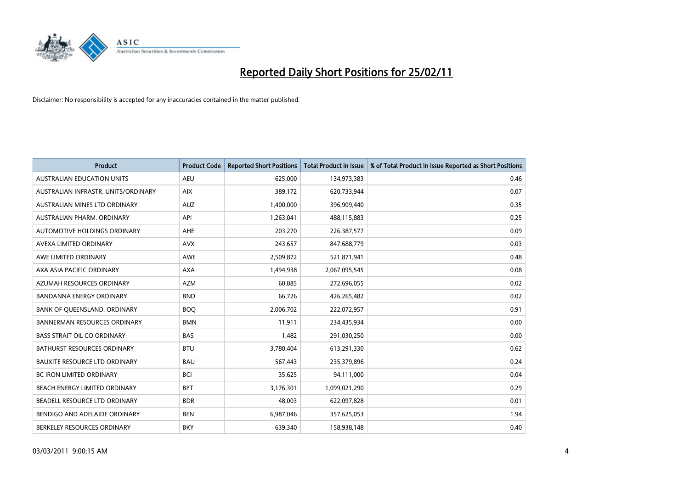

| <b>Product</b>                       | <b>Product Code</b> | <b>Reported Short Positions</b> | <b>Total Product in Issue</b> | % of Total Product in Issue Reported as Short Positions |
|--------------------------------------|---------------------|---------------------------------|-------------------------------|---------------------------------------------------------|
| <b>AUSTRALIAN EDUCATION UNITS</b>    | <b>AEU</b>          | 625,000                         | 134,973,383                   | 0.46                                                    |
| AUSTRALIAN INFRASTR. UNITS/ORDINARY  | <b>AIX</b>          | 389,172                         | 620,733,944                   | 0.07                                                    |
| AUSTRALIAN MINES LTD ORDINARY        | <b>AUZ</b>          | 1,400,000                       | 396,909,440                   | 0.35                                                    |
| AUSTRALIAN PHARM. ORDINARY           | API                 | 1,263,041                       | 488,115,883                   | 0.25                                                    |
| AUTOMOTIVE HOLDINGS ORDINARY         | <b>AHE</b>          | 203,270                         | 226,387,577                   | 0.09                                                    |
| AVEXA LIMITED ORDINARY               | <b>AVX</b>          | 243,657                         | 847,688,779                   | 0.03                                                    |
| AWE LIMITED ORDINARY                 | <b>AWE</b>          | 2,509,872                       | 521,871,941                   | 0.48                                                    |
| AXA ASIA PACIFIC ORDINARY            | <b>AXA</b>          | 1,494,938                       | 2,067,095,545                 | 0.08                                                    |
| AZUMAH RESOURCES ORDINARY            | <b>AZM</b>          | 60,885                          | 272,696,055                   | 0.02                                                    |
| <b>BANDANNA ENERGY ORDINARY</b>      | <b>BND</b>          | 66,726                          | 426,265,482                   | 0.02                                                    |
| BANK OF QUEENSLAND. ORDINARY         | <b>BOQ</b>          | 2,006,702                       | 222,072,957                   | 0.91                                                    |
| <b>BANNERMAN RESOURCES ORDINARY</b>  | <b>BMN</b>          | 11,911                          | 234,435,934                   | 0.00                                                    |
| <b>BASS STRAIT OIL CO ORDINARY</b>   | <b>BAS</b>          | 1,482                           | 291,030,250                   | 0.00                                                    |
| BATHURST RESOURCES ORDINARY          | <b>BTU</b>          | 3,780,404                       | 613,291,330                   | 0.62                                                    |
| <b>BAUXITE RESOURCE LTD ORDINARY</b> | <b>BAU</b>          | 567,443                         | 235,379,896                   | 0.24                                                    |
| BC IRON LIMITED ORDINARY             | <b>BCI</b>          | 35,625                          | 94,111,000                    | 0.04                                                    |
| BEACH ENERGY LIMITED ORDINARY        | <b>BPT</b>          | 3,176,301                       | 1,099,021,290                 | 0.29                                                    |
| BEADELL RESOURCE LTD ORDINARY        | <b>BDR</b>          | 48,003                          | 622,097,828                   | 0.01                                                    |
| BENDIGO AND ADELAIDE ORDINARY        | <b>BEN</b>          | 6,987,046                       | 357,625,053                   | 1.94                                                    |
| BERKELEY RESOURCES ORDINARY          | <b>BKY</b>          | 639,340                         | 158,938,148                   | 0.40                                                    |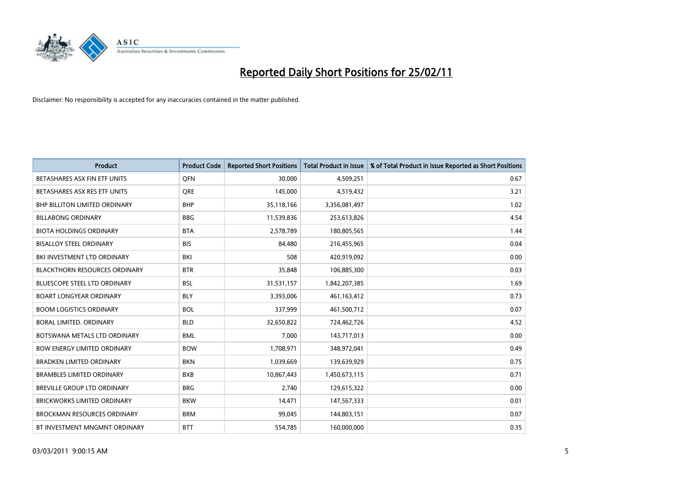

| <b>Product</b>                       | <b>Product Code</b> | <b>Reported Short Positions</b> | <b>Total Product in Issue</b> | % of Total Product in Issue Reported as Short Positions |
|--------------------------------------|---------------------|---------------------------------|-------------------------------|---------------------------------------------------------|
| BETASHARES ASX FIN ETF UNITS         | <b>OFN</b>          | 30,000                          | 4,509,251                     | 0.67                                                    |
| BETASHARES ASX RES ETF UNITS         | <b>ORE</b>          | 145,000                         | 4,519,432                     | 3.21                                                    |
| <b>BHP BILLITON LIMITED ORDINARY</b> | <b>BHP</b>          | 35,118,166                      | 3,356,081,497                 | 1.02                                                    |
| <b>BILLABONG ORDINARY</b>            | <b>BBG</b>          | 11,539,836                      | 253,613,826                   | 4.54                                                    |
| <b>BIOTA HOLDINGS ORDINARY</b>       | <b>BTA</b>          | 2,578,789                       | 180,805,565                   | 1.44                                                    |
| <b>BISALLOY STEEL ORDINARY</b>       | <b>BIS</b>          | 84,480                          | 216,455,965                   | 0.04                                                    |
| BKI INVESTMENT LTD ORDINARY          | <b>BKI</b>          | 508                             | 420,919,092                   | 0.00                                                    |
| <b>BLACKTHORN RESOURCES ORDINARY</b> | <b>BTR</b>          | 35,848                          | 106,885,300                   | 0.03                                                    |
| <b>BLUESCOPE STEEL LTD ORDINARY</b>  | <b>BSL</b>          | 31,531,157                      | 1,842,207,385                 | 1.69                                                    |
| <b>BOART LONGYEAR ORDINARY</b>       | <b>BLY</b>          | 3,393,006                       | 461,163,412                   | 0.73                                                    |
| <b>BOOM LOGISTICS ORDINARY</b>       | <b>BOL</b>          | 337,999                         | 461,500,712                   | 0.07                                                    |
| <b>BORAL LIMITED, ORDINARY</b>       | <b>BLD</b>          | 32,650,822                      | 724,462,726                   | 4.52                                                    |
| BOTSWANA METALS LTD ORDINARY         | <b>BML</b>          | 7,000                           | 143,717,013                   | 0.00                                                    |
| <b>BOW ENERGY LIMITED ORDINARY</b>   | <b>BOW</b>          | 1,708,971                       | 348,972,041                   | 0.49                                                    |
| <b>BRADKEN LIMITED ORDINARY</b>      | <b>BKN</b>          | 1,039,669                       | 139,639,929                   | 0.75                                                    |
| <b>BRAMBLES LIMITED ORDINARY</b>     | <b>BXB</b>          | 10,867,443                      | 1,450,673,115                 | 0.71                                                    |
| BREVILLE GROUP LTD ORDINARY          | <b>BRG</b>          | 2,740                           | 129,615,322                   | 0.00                                                    |
| <b>BRICKWORKS LIMITED ORDINARY</b>   | <b>BKW</b>          | 14,471                          | 147,567,333                   | 0.01                                                    |
| <b>BROCKMAN RESOURCES ORDINARY</b>   | <b>BRM</b>          | 99,045                          | 144,803,151                   | 0.07                                                    |
| BT INVESTMENT MNGMNT ORDINARY        | <b>BTT</b>          | 554,785                         | 160,000,000                   | 0.35                                                    |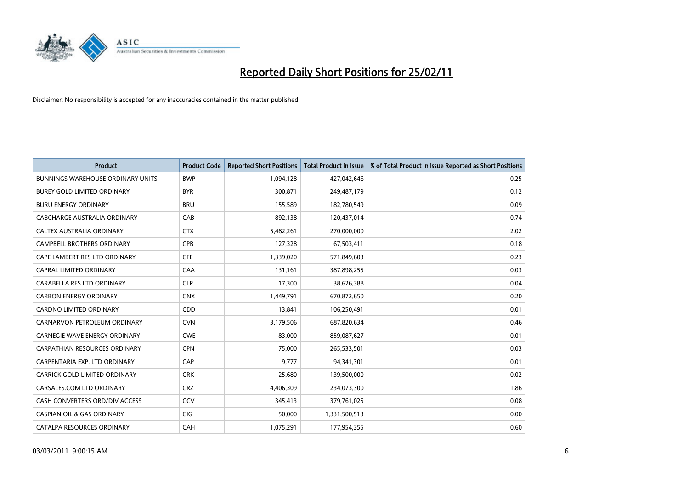

| <b>Product</b>                           | <b>Product Code</b> | <b>Reported Short Positions</b> | <b>Total Product in Issue</b> | % of Total Product in Issue Reported as Short Positions |
|------------------------------------------|---------------------|---------------------------------|-------------------------------|---------------------------------------------------------|
| <b>BUNNINGS WAREHOUSE ORDINARY UNITS</b> | <b>BWP</b>          | 1,094,128                       | 427,042,646                   | 0.25                                                    |
| BUREY GOLD LIMITED ORDINARY              | <b>BYR</b>          | 300,871                         | 249,487,179                   | 0.12                                                    |
| <b>BURU ENERGY ORDINARY</b>              | <b>BRU</b>          | 155,589                         | 182,780,549                   | 0.09                                                    |
| CABCHARGE AUSTRALIA ORDINARY             | CAB                 | 892,138                         | 120,437,014                   | 0.74                                                    |
| CALTEX AUSTRALIA ORDINARY                | <b>CTX</b>          | 5,482,261                       | 270,000,000                   | 2.02                                                    |
| CAMPBELL BROTHERS ORDINARY               | <b>CPB</b>          | 127,328                         | 67,503,411                    | 0.18                                                    |
| CAPE LAMBERT RES LTD ORDINARY            | <b>CFE</b>          | 1,339,020                       | 571,849,603                   | 0.23                                                    |
| CAPRAL LIMITED ORDINARY                  | CAA                 | 131,161                         | 387,898,255                   | 0.03                                                    |
| CARABELLA RES LTD ORDINARY               | <b>CLR</b>          | 17,300                          | 38,626,388                    | 0.04                                                    |
| <b>CARBON ENERGY ORDINARY</b>            | <b>CNX</b>          | 1,449,791                       | 670,872,650                   | 0.20                                                    |
| <b>CARDNO LIMITED ORDINARY</b>           | CDD                 | 13,841                          | 106,250,491                   | 0.01                                                    |
| CARNARVON PETROLEUM ORDINARY             | <b>CVN</b>          | 3,179,506                       | 687,820,634                   | 0.46                                                    |
| <b>CARNEGIE WAVE ENERGY ORDINARY</b>     | <b>CWE</b>          | 83,000                          | 859,087,627                   | 0.01                                                    |
| <b>CARPATHIAN RESOURCES ORDINARY</b>     | <b>CPN</b>          | 75,000                          | 265,533,501                   | 0.03                                                    |
| CARPENTARIA EXP. LTD ORDINARY            | CAP                 | 9,777                           | 94,341,301                    | 0.01                                                    |
| CARRICK GOLD LIMITED ORDINARY            | <b>CRK</b>          | 25,680                          | 139,500,000                   | 0.02                                                    |
| CARSALES.COM LTD ORDINARY                | <b>CRZ</b>          | 4,406,309                       | 234,073,300                   | 1.86                                                    |
| CASH CONVERTERS ORD/DIV ACCESS           | CCV                 | 345,413                         | 379,761,025                   | 0.08                                                    |
| <b>CASPIAN OIL &amp; GAS ORDINARY</b>    | <b>CIG</b>          | 50,000                          | 1,331,500,513                 | 0.00                                                    |
| CATALPA RESOURCES ORDINARY               | CAH                 | 1,075,291                       | 177,954,355                   | 0.60                                                    |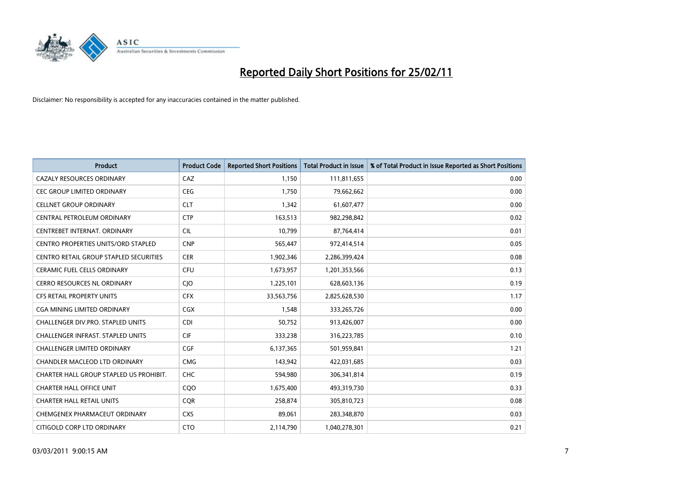

| <b>Product</b>                                | <b>Product Code</b> | <b>Reported Short Positions</b> | <b>Total Product in Issue</b> | % of Total Product in Issue Reported as Short Positions |
|-----------------------------------------------|---------------------|---------------------------------|-------------------------------|---------------------------------------------------------|
| <b>CAZALY RESOURCES ORDINARY</b>              | CAZ                 | 1,150                           | 111,811,655                   | 0.00                                                    |
| CEC GROUP LIMITED ORDINARY                    | <b>CEG</b>          | 1,750                           | 79,662,662                    | 0.00                                                    |
| <b>CELLNET GROUP ORDINARY</b>                 | <b>CLT</b>          | 1,342                           | 61,607,477                    | 0.00                                                    |
| CENTRAL PETROLEUM ORDINARY                    | <b>CTP</b>          | 163,513                         | 982,298,842                   | 0.02                                                    |
| CENTREBET INTERNAT, ORDINARY                  | <b>CIL</b>          | 10,799                          | 87,764,414                    | 0.01                                                    |
| <b>CENTRO PROPERTIES UNITS/ORD STAPLED</b>    | <b>CNP</b>          | 565,447                         | 972,414,514                   | 0.05                                                    |
| <b>CENTRO RETAIL GROUP STAPLED SECURITIES</b> | <b>CER</b>          | 1,902,346                       | 2,286,399,424                 | 0.08                                                    |
| <b>CERAMIC FUEL CELLS ORDINARY</b>            | <b>CFU</b>          | 1,673,957                       | 1,201,353,566                 | 0.13                                                    |
| CERRO RESOURCES NL ORDINARY                   | <b>CIO</b>          | 1,225,101                       | 628,603,136                   | 0.19                                                    |
| <b>CFS RETAIL PROPERTY UNITS</b>              | <b>CFX</b>          | 33,563,756                      | 2,825,628,530                 | 1.17                                                    |
| CGA MINING LIMITED ORDINARY                   | <b>CGX</b>          | 1,548                           | 333,265,726                   | 0.00                                                    |
| <b>CHALLENGER DIV.PRO. STAPLED UNITS</b>      | <b>CDI</b>          | 50,752                          | 913,426,007                   | 0.00                                                    |
| <b>CHALLENGER INFRAST. STAPLED UNITS</b>      | <b>CIF</b>          | 333,238                         | 316,223,785                   | 0.10                                                    |
| <b>CHALLENGER LIMITED ORDINARY</b>            | <b>CGF</b>          | 6,137,365                       | 501,959,841                   | 1.21                                                    |
| CHANDLER MACLEOD LTD ORDINARY                 | <b>CMG</b>          | 143,942                         | 422,031,685                   | 0.03                                                    |
| CHARTER HALL GROUP STAPLED US PROHIBIT.       | <b>CHC</b>          | 594,980                         | 306,341,814                   | 0.19                                                    |
| <b>CHARTER HALL OFFICE UNIT</b>               | CQ <sub>O</sub>     | 1,675,400                       | 493,319,730                   | 0.33                                                    |
| <b>CHARTER HALL RETAIL UNITS</b>              | <b>CQR</b>          | 258,874                         | 305,810,723                   | 0.08                                                    |
| CHEMGENEX PHARMACEUT ORDINARY                 | <b>CXS</b>          | 89,061                          | 283,348,870                   | 0.03                                                    |
| CITIGOLD CORP LTD ORDINARY                    | <b>CTO</b>          | 2,114,790                       | 1,040,278,301                 | 0.21                                                    |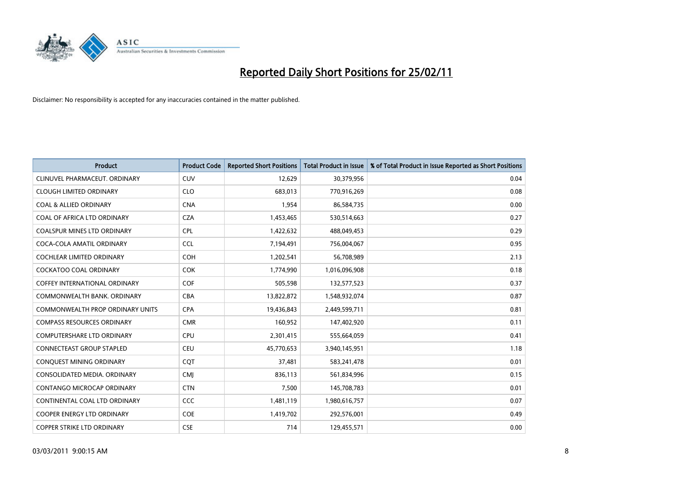

| <b>Product</b>                          | <b>Product Code</b> | <b>Reported Short Positions</b> | <b>Total Product in Issue</b> | % of Total Product in Issue Reported as Short Positions |
|-----------------------------------------|---------------------|---------------------------------|-------------------------------|---------------------------------------------------------|
| CLINUVEL PHARMACEUT, ORDINARY           | <b>CUV</b>          | 12,629                          | 30,379,956                    | 0.04                                                    |
| <b>CLOUGH LIMITED ORDINARY</b>          | <b>CLO</b>          | 683.013                         | 770,916,269                   | 0.08                                                    |
| <b>COAL &amp; ALLIED ORDINARY</b>       | <b>CNA</b>          | 1,954                           | 86,584,735                    | 0.00                                                    |
| COAL OF AFRICA LTD ORDINARY             | <b>CZA</b>          | 1,453,465                       | 530,514,663                   | 0.27                                                    |
| <b>COALSPUR MINES LTD ORDINARY</b>      | <b>CPL</b>          | 1,422,632                       | 488,049,453                   | 0.29                                                    |
| COCA-COLA AMATIL ORDINARY               | <b>CCL</b>          | 7,194,491                       | 756,004,067                   | 0.95                                                    |
| <b>COCHLEAR LIMITED ORDINARY</b>        | <b>COH</b>          | 1,202,541                       | 56,708,989                    | 2.13                                                    |
| <b>COCKATOO COAL ORDINARY</b>           | <b>COK</b>          | 1,774,990                       | 1,016,096,908                 | 0.18                                                    |
| <b>COFFEY INTERNATIONAL ORDINARY</b>    | <b>COF</b>          | 505,598                         | 132,577,523                   | 0.37                                                    |
| COMMONWEALTH BANK, ORDINARY             | <b>CBA</b>          | 13,822,872                      | 1,548,932,074                 | 0.87                                                    |
| <b>COMMONWEALTH PROP ORDINARY UNITS</b> | <b>CPA</b>          | 19,436,843                      | 2,449,599,711                 | 0.81                                                    |
| <b>COMPASS RESOURCES ORDINARY</b>       | <b>CMR</b>          | 160,952                         | 147,402,920                   | 0.11                                                    |
| <b>COMPUTERSHARE LTD ORDINARY</b>       | <b>CPU</b>          | 2,301,415                       | 555,664,059                   | 0.41                                                    |
| <b>CONNECTEAST GROUP STAPLED</b>        | <b>CEU</b>          | 45,770,653                      | 3,940,145,951                 | 1.18                                                    |
| CONQUEST MINING ORDINARY                | <b>COT</b>          | 37,481                          | 583,241,478                   | 0.01                                                    |
| CONSOLIDATED MEDIA, ORDINARY            | CMI                 | 836,113                         | 561,834,996                   | 0.15                                                    |
| CONTANGO MICROCAP ORDINARY              | <b>CTN</b>          | 7,500                           | 145,708,783                   | 0.01                                                    |
| CONTINENTAL COAL LTD ORDINARY           | <b>CCC</b>          | 1,481,119                       | 1,980,616,757                 | 0.07                                                    |
| <b>COOPER ENERGY LTD ORDINARY</b>       | <b>COE</b>          | 1,419,702                       | 292,576,001                   | 0.49                                                    |
| <b>COPPER STRIKE LTD ORDINARY</b>       | <b>CSE</b>          | 714                             | 129,455,571                   | 0.00                                                    |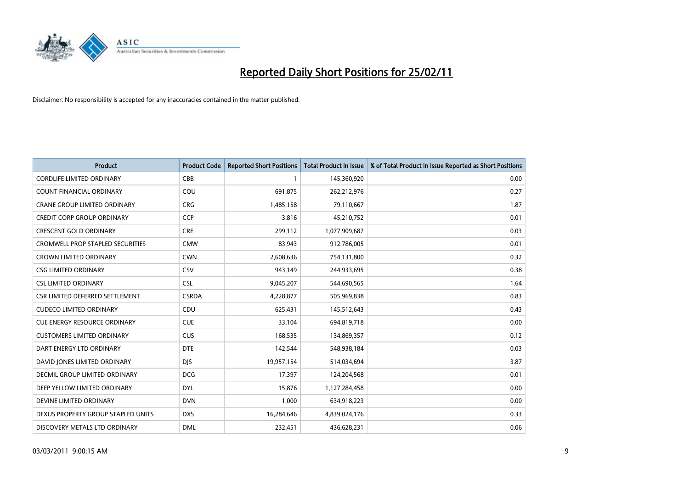

| <b>Product</b>                          | <b>Product Code</b> | <b>Reported Short Positions</b> | <b>Total Product in Issue</b> | % of Total Product in Issue Reported as Short Positions |
|-----------------------------------------|---------------------|---------------------------------|-------------------------------|---------------------------------------------------------|
| <b>CORDLIFE LIMITED ORDINARY</b>        | CBB                 |                                 | 145,360,920                   | 0.00                                                    |
| COUNT FINANCIAL ORDINARY                | COU                 | 691,875                         | 262,212,976                   | 0.27                                                    |
| <b>CRANE GROUP LIMITED ORDINARY</b>     | <b>CRG</b>          | 1,485,158                       | 79,110,667                    | 1.87                                                    |
| CREDIT CORP GROUP ORDINARY              | <b>CCP</b>          | 3,816                           | 45,210,752                    | 0.01                                                    |
| <b>CRESCENT GOLD ORDINARY</b>           | <b>CRE</b>          | 299,112                         | 1,077,909,687                 | 0.03                                                    |
| <b>CROMWELL PROP STAPLED SECURITIES</b> | <b>CMW</b>          | 83,943                          | 912,786,005                   | 0.01                                                    |
| <b>CROWN LIMITED ORDINARY</b>           | <b>CWN</b>          | 2,608,636                       | 754,131,800                   | 0.32                                                    |
| <b>CSG LIMITED ORDINARY</b>             | CSV                 | 943,149                         | 244,933,695                   | 0.38                                                    |
| <b>CSL LIMITED ORDINARY</b>             | <b>CSL</b>          | 9,045,207                       | 544,690,565                   | 1.64                                                    |
| CSR LIMITED DEFERRED SETTLEMENT         | <b>CSRDA</b>        | 4,228,877                       | 505,969,838                   | 0.83                                                    |
| <b>CUDECO LIMITED ORDINARY</b>          | CDU                 | 625,431                         | 145,512,643                   | 0.43                                                    |
| <b>CUE ENERGY RESOURCE ORDINARY</b>     | <b>CUE</b>          | 33,104                          | 694,819,718                   | 0.00                                                    |
| <b>CUSTOMERS LIMITED ORDINARY</b>       | <b>CUS</b>          | 168,535                         | 134,869,357                   | 0.12                                                    |
| DART ENERGY LTD ORDINARY                | <b>DTE</b>          | 142,544                         | 548,938,184                   | 0.03                                                    |
| DAVID JONES LIMITED ORDINARY            | <b>DJS</b>          | 19,957,154                      | 514,034,694                   | 3.87                                                    |
| DECMIL GROUP LIMITED ORDINARY           | <b>DCG</b>          | 17,397                          | 124,204,568                   | 0.01                                                    |
| DEEP YELLOW LIMITED ORDINARY            | <b>DYL</b>          | 15,876                          | 1,127,284,458                 | 0.00                                                    |
| DEVINE LIMITED ORDINARY                 | <b>DVN</b>          | 1,000                           | 634,918,223                   | 0.00                                                    |
| DEXUS PROPERTY GROUP STAPLED UNITS      | <b>DXS</b>          | 16,284,646                      | 4,839,024,176                 | 0.33                                                    |
| DISCOVERY METALS LTD ORDINARY           | <b>DML</b>          | 232,451                         | 436,628,231                   | 0.06                                                    |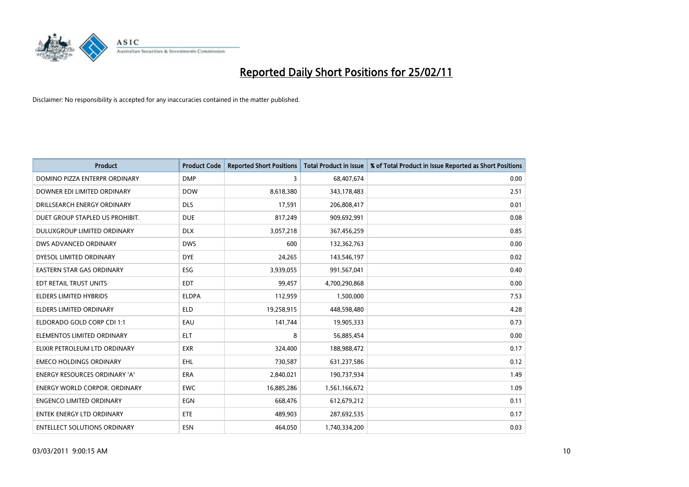

| <b>Product</b>                       | <b>Product Code</b> | <b>Reported Short Positions</b> | <b>Total Product in Issue</b> | % of Total Product in Issue Reported as Short Positions |
|--------------------------------------|---------------------|---------------------------------|-------------------------------|---------------------------------------------------------|
| DOMINO PIZZA ENTERPR ORDINARY        | <b>DMP</b>          | 3                               | 68,407,674                    | 0.00                                                    |
| DOWNER EDI LIMITED ORDINARY          | <b>DOW</b>          | 8,618,380                       | 343,178,483                   | 2.51                                                    |
| DRILLSEARCH ENERGY ORDINARY          | <b>DLS</b>          | 17,591                          | 206,808,417                   | 0.01                                                    |
| DUET GROUP STAPLED US PROHIBIT.      | <b>DUE</b>          | 817,249                         | 909,692,991                   | 0.08                                                    |
| <b>DULUXGROUP LIMITED ORDINARY</b>   | <b>DLX</b>          | 3,057,218                       | 367,456,259                   | 0.85                                                    |
| DWS ADVANCED ORDINARY                | <b>DWS</b>          | 600                             | 132,362,763                   | 0.00                                                    |
| DYESOL LIMITED ORDINARY              | <b>DYE</b>          | 24,265                          | 143,546,197                   | 0.02                                                    |
| <b>EASTERN STAR GAS ORDINARY</b>     | <b>ESG</b>          | 3,939,055                       | 991,567,041                   | 0.40                                                    |
| EDT RETAIL TRUST UNITS               | <b>EDT</b>          | 99,457                          | 4,700,290,868                 | 0.00                                                    |
| <b>ELDERS LIMITED HYBRIDS</b>        | <b>ELDPA</b>        | 112,959                         | 1,500,000                     | 7.53                                                    |
| ELDERS LIMITED ORDINARY              | <b>ELD</b>          | 19,258,915                      | 448,598,480                   | 4.28                                                    |
| ELDORADO GOLD CORP CDI 1:1           | EAU                 | 141,744                         | 19,905,333                    | 0.73                                                    |
| ELEMENTOS LIMITED ORDINARY           | <b>ELT</b>          | 8                               | 56,885,454                    | 0.00                                                    |
| ELIXIR PETROLEUM LTD ORDINARY        | <b>EXR</b>          | 324,400                         | 188,988,472                   | 0.17                                                    |
| <b>EMECO HOLDINGS ORDINARY</b>       | <b>EHL</b>          | 730,587                         | 631,237,586                   | 0.12                                                    |
| ENERGY RESOURCES ORDINARY 'A'        | <b>ERA</b>          | 2,840,021                       | 190,737,934                   | 1.49                                                    |
| <b>ENERGY WORLD CORPOR. ORDINARY</b> | <b>EWC</b>          | 16,885,286                      | 1,561,166,672                 | 1.09                                                    |
| <b>ENGENCO LIMITED ORDINARY</b>      | <b>EGN</b>          | 668,476                         | 612,679,212                   | 0.11                                                    |
| <b>ENTEK ENERGY LTD ORDINARY</b>     | <b>ETE</b>          | 489,903                         | 287,692,535                   | 0.17                                                    |
| <b>ENTELLECT SOLUTIONS ORDINARY</b>  | <b>ESN</b>          | 464,050                         | 1,740,334,200                 | 0.03                                                    |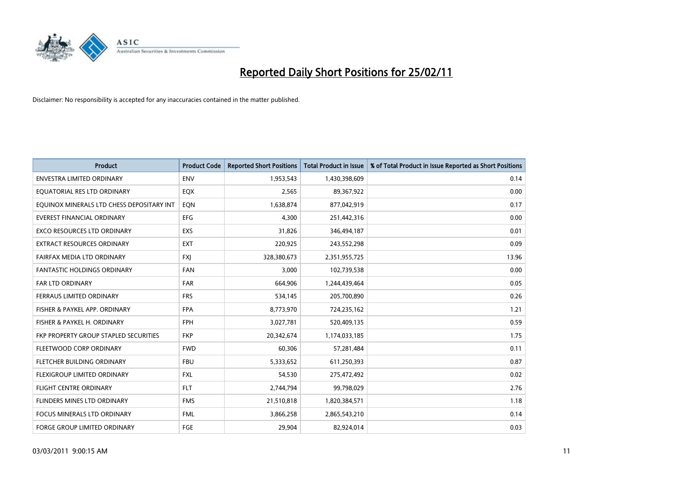

| <b>Product</b>                            | <b>Product Code</b> | <b>Reported Short Positions</b> | <b>Total Product in Issue</b> | % of Total Product in Issue Reported as Short Positions |
|-------------------------------------------|---------------------|---------------------------------|-------------------------------|---------------------------------------------------------|
| <b>ENVESTRA LIMITED ORDINARY</b>          | <b>ENV</b>          | 1,953,543                       | 1,430,398,609                 | 0.14                                                    |
| EQUATORIAL RES LTD ORDINARY               | EQX                 | 2,565                           | 89,367,922                    | 0.00                                                    |
| EQUINOX MINERALS LTD CHESS DEPOSITARY INT | EQN                 | 1,638,874                       | 877,042,919                   | 0.17                                                    |
| <b>EVEREST FINANCIAL ORDINARY</b>         | <b>EFG</b>          | 4,300                           | 251,442,316                   | 0.00                                                    |
| <b>EXCO RESOURCES LTD ORDINARY</b>        | EXS                 | 31,826                          | 346,494,187                   | 0.01                                                    |
| <b>EXTRACT RESOURCES ORDINARY</b>         | <b>EXT</b>          | 220,925                         | 243,552,298                   | 0.09                                                    |
| FAIRFAX MEDIA LTD ORDINARY                | <b>FXI</b>          | 328,380,673                     | 2,351,955,725                 | 13.96                                                   |
| <b>FANTASTIC HOLDINGS ORDINARY</b>        | FAN                 | 3,000                           | 102,739,538                   | 0.00                                                    |
| FAR LTD ORDINARY                          | FAR                 | 664,906                         | 1,244,439,464                 | 0.05                                                    |
| FERRAUS LIMITED ORDINARY                  | <b>FRS</b>          | 534,145                         | 205,700,890                   | 0.26                                                    |
| FISHER & PAYKEL APP. ORDINARY             | <b>FPA</b>          | 8,773,970                       | 724,235,162                   | 1.21                                                    |
| FISHER & PAYKEL H. ORDINARY               | FPH                 | 3,027,781                       | 520,409,135                   | 0.59                                                    |
| FKP PROPERTY GROUP STAPLED SECURITIES     | <b>FKP</b>          | 20,342,674                      | 1,174,033,185                 | 1.75                                                    |
| FLEETWOOD CORP ORDINARY                   | <b>FWD</b>          | 60,306                          | 57,281,484                    | 0.11                                                    |
| FLETCHER BUILDING ORDINARY                | <b>FBU</b>          | 5,333,652                       | 611,250,393                   | 0.87                                                    |
| FLEXIGROUP LIMITED ORDINARY               | <b>FXL</b>          | 54,530                          | 275,472,492                   | 0.02                                                    |
| <b>FLIGHT CENTRE ORDINARY</b>             | <b>FLT</b>          | 2,744,794                       | 99,798,029                    | 2.76                                                    |
| <b>FLINDERS MINES LTD ORDINARY</b>        | <b>FMS</b>          | 21,510,818                      | 1,820,384,571                 | 1.18                                                    |
| <b>FOCUS MINERALS LTD ORDINARY</b>        | <b>FML</b>          | 3,866,258                       | 2,865,543,210                 | 0.14                                                    |
| <b>FORGE GROUP LIMITED ORDINARY</b>       | FGE                 | 29,904                          | 82,924,014                    | 0.03                                                    |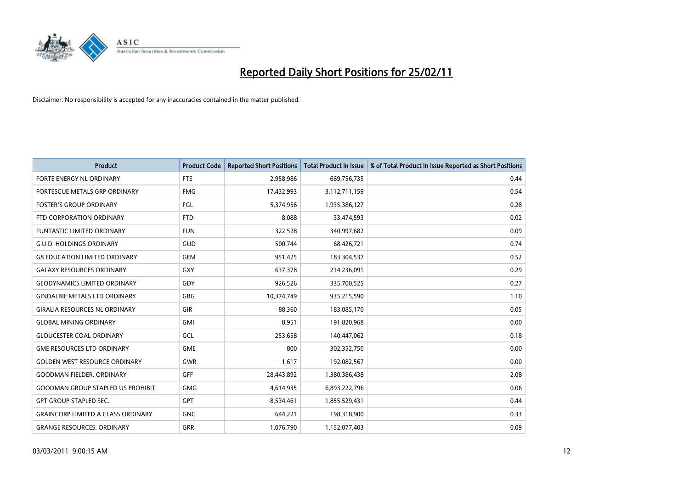

| <b>Product</b>                            | <b>Product Code</b> | <b>Reported Short Positions</b> | <b>Total Product in Issue</b> | % of Total Product in Issue Reported as Short Positions |
|-------------------------------------------|---------------------|---------------------------------|-------------------------------|---------------------------------------------------------|
| FORTE ENERGY NL ORDINARY                  | <b>FTE</b>          | 2,958,986                       | 669,756,735                   | 0.44                                                    |
| FORTESCUE METALS GRP ORDINARY             | <b>FMG</b>          | 17,432,993                      | 3,112,711,159                 | 0.54                                                    |
| <b>FOSTER'S GROUP ORDINARY</b>            | <b>FGL</b>          | 5,374,956                       | 1,935,386,127                 | 0.28                                                    |
| FTD CORPORATION ORDINARY                  | <b>FTD</b>          | 8,088                           | 33,474,593                    | 0.02                                                    |
| <b>FUNTASTIC LIMITED ORDINARY</b>         | <b>FUN</b>          | 322,528                         | 340,997,682                   | 0.09                                                    |
| <b>G.U.D. HOLDINGS ORDINARY</b>           | GUD                 | 500,744                         | 68,426,721                    | 0.74                                                    |
| <b>G8 EDUCATION LIMITED ORDINARY</b>      | <b>GEM</b>          | 951,425                         | 183,304,537                   | 0.52                                                    |
| <b>GALAXY RESOURCES ORDINARY</b>          | GXY                 | 637,378                         | 214,236,091                   | 0.29                                                    |
| <b>GEODYNAMICS LIMITED ORDINARY</b>       | GDY                 | 926,526                         | 335,700,525                   | 0.27                                                    |
| <b>GINDALBIE METALS LTD ORDINARY</b>      | GBG                 | 10,374,749                      | 935,215,590                   | 1.10                                                    |
| <b>GIRALIA RESOURCES NL ORDINARY</b>      | <b>GIR</b>          | 88,360                          | 183,085,170                   | 0.05                                                    |
| <b>GLOBAL MINING ORDINARY</b>             | <b>GMI</b>          | 8,951                           | 191,820,968                   | 0.00                                                    |
| <b>GLOUCESTER COAL ORDINARY</b>           | <b>GCL</b>          | 253,658                         | 140,447,062                   | 0.18                                                    |
| <b>GME RESOURCES LTD ORDINARY</b>         | <b>GME</b>          | 800                             | 302,352,750                   | 0.00                                                    |
| <b>GOLDEN WEST RESOURCE ORDINARY</b>      | <b>GWR</b>          | 1,617                           | 192,082,567                   | 0.00                                                    |
| <b>GOODMAN FIELDER, ORDINARY</b>          | GFF                 | 28,443,892                      | 1,380,386,438                 | 2.08                                                    |
| <b>GOODMAN GROUP STAPLED US PROHIBIT.</b> | <b>GMG</b>          | 4,614,935                       | 6,893,222,796                 | 0.06                                                    |
| <b>GPT GROUP STAPLED SEC.</b>             | <b>GPT</b>          | 8,534,461                       | 1,855,529,431                 | 0.44                                                    |
| <b>GRAINCORP LIMITED A CLASS ORDINARY</b> | <b>GNC</b>          | 644,221                         | 198,318,900                   | 0.33                                                    |
| <b>GRANGE RESOURCES. ORDINARY</b>         | GRR                 | 1,076,790                       | 1,152,077,403                 | 0.09                                                    |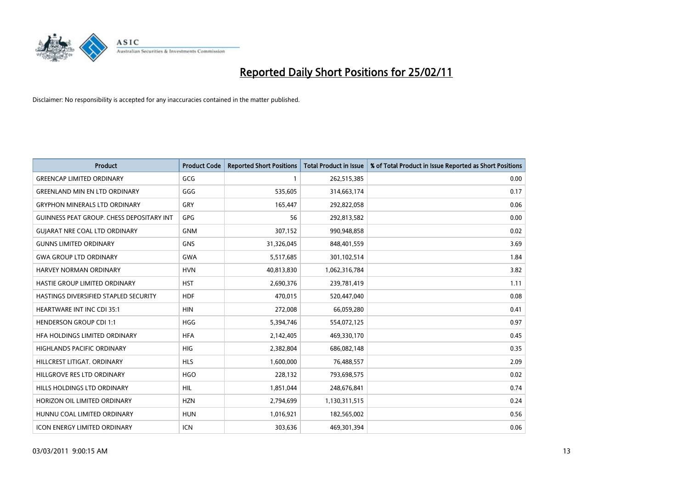

| <b>Product</b>                            | <b>Product Code</b> | <b>Reported Short Positions</b> | <b>Total Product in Issue</b> | % of Total Product in Issue Reported as Short Positions |
|-------------------------------------------|---------------------|---------------------------------|-------------------------------|---------------------------------------------------------|
| <b>GREENCAP LIMITED ORDINARY</b>          | GCG                 |                                 | 262,515,385                   | 0.00                                                    |
| <b>GREENLAND MIN EN LTD ORDINARY</b>      | GGG                 | 535,605                         | 314,663,174                   | 0.17                                                    |
| <b>GRYPHON MINERALS LTD ORDINARY</b>      | GRY                 | 165,447                         | 292,822,058                   | 0.06                                                    |
| GUINNESS PEAT GROUP. CHESS DEPOSITARY INT | <b>GPG</b>          | 56                              | 292,813,582                   | 0.00                                                    |
| <b>GUIARAT NRE COAL LTD ORDINARY</b>      | <b>GNM</b>          | 307,152                         | 990,948,858                   | 0.02                                                    |
| <b>GUNNS LIMITED ORDINARY</b>             | <b>GNS</b>          | 31,326,045                      | 848,401,559                   | 3.69                                                    |
| <b>GWA GROUP LTD ORDINARY</b>             | <b>GWA</b>          | 5,517,685                       | 301,102,514                   | 1.84                                                    |
| <b>HARVEY NORMAN ORDINARY</b>             | <b>HVN</b>          | 40,813,830                      | 1,062,316,784                 | 3.82                                                    |
| HASTIE GROUP LIMITED ORDINARY             | <b>HST</b>          | 2,690,376                       | 239,781,419                   | 1.11                                                    |
| HASTINGS DIVERSIFIED STAPLED SECURITY     | <b>HDF</b>          | 470,015                         | 520,447,040                   | 0.08                                                    |
| <b>HEARTWARE INT INC CDI 35:1</b>         | <b>HIN</b>          | 272,008                         | 66,059,280                    | 0.41                                                    |
| <b>HENDERSON GROUP CDI 1:1</b>            | <b>HGG</b>          | 5,394,746                       | 554,072,125                   | 0.97                                                    |
| HFA HOLDINGS LIMITED ORDINARY             | <b>HFA</b>          | 2,142,405                       | 469,330,170                   | 0.45                                                    |
| <b>HIGHLANDS PACIFIC ORDINARY</b>         | <b>HIG</b>          | 2,382,804                       | 686,082,148                   | 0.35                                                    |
| HILLCREST LITIGAT, ORDINARY               | <b>HLS</b>          | 1,600,000                       | 76,488,557                    | 2.09                                                    |
| HILLGROVE RES LTD ORDINARY                | <b>HGO</b>          | 228,132                         | 793,698,575                   | 0.02                                                    |
| HILLS HOLDINGS LTD ORDINARY               | <b>HIL</b>          | 1,851,044                       | 248,676,841                   | 0.74                                                    |
| HORIZON OIL LIMITED ORDINARY              | <b>HZN</b>          | 2,794,699                       | 1,130,311,515                 | 0.24                                                    |
| HUNNU COAL LIMITED ORDINARY               | <b>HUN</b>          | 1,016,921                       | 182,565,002                   | 0.56                                                    |
| <b>ICON ENERGY LIMITED ORDINARY</b>       | <b>ICN</b>          | 303,636                         | 469,301,394                   | 0.06                                                    |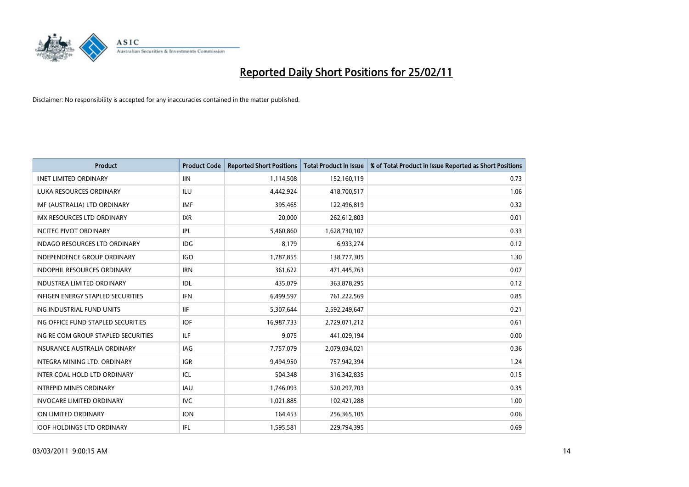

| Product                                  | <b>Product Code</b> | <b>Reported Short Positions</b> | <b>Total Product in Issue</b> | % of Total Product in Issue Reported as Short Positions |
|------------------------------------------|---------------------|---------------------------------|-------------------------------|---------------------------------------------------------|
| <b>IINET LIMITED ORDINARY</b>            | <b>IIN</b>          | 1,114,508                       | 152,160,119                   | 0.73                                                    |
| <b>ILUKA RESOURCES ORDINARY</b>          | ILU                 | 4,442,924                       | 418,700,517                   | 1.06                                                    |
| IMF (AUSTRALIA) LTD ORDINARY             | <b>IMF</b>          | 395,465                         | 122,496,819                   | 0.32                                                    |
| IMX RESOURCES LTD ORDINARY               | <b>IXR</b>          | 20,000                          | 262,612,803                   | 0.01                                                    |
| <b>INCITEC PIVOT ORDINARY</b>            | IPL                 | 5,460,860                       | 1,628,730,107                 | 0.33                                                    |
| <b>INDAGO RESOURCES LTD ORDINARY</b>     | <b>IDG</b>          | 8,179                           | 6,933,274                     | 0.12                                                    |
| <b>INDEPENDENCE GROUP ORDINARY</b>       | <b>IGO</b>          | 1,787,855                       | 138,777,305                   | 1.30                                                    |
| <b>INDOPHIL RESOURCES ORDINARY</b>       | <b>IRN</b>          | 361,622                         | 471,445,763                   | 0.07                                                    |
| <b>INDUSTREA LIMITED ORDINARY</b>        | IDL                 | 435,079                         | 363,878,295                   | 0.12                                                    |
| <b>INFIGEN ENERGY STAPLED SECURITIES</b> | <b>IFN</b>          | 6,499,597                       | 761,222,569                   | 0.85                                                    |
| ING INDUSTRIAL FUND UNITS                | <b>IIF</b>          | 5,307,644                       | 2,592,249,647                 | 0.21                                                    |
| ING OFFICE FUND STAPLED SECURITIES       | <b>IOF</b>          | 16,987,733                      | 2,729,071,212                 | 0.61                                                    |
| ING RE COM GROUP STAPLED SECURITIES      | ILF.                | 9,075                           | 441,029,194                   | 0.00                                                    |
| <b>INSURANCE AUSTRALIA ORDINARY</b>      | IAG                 | 7,757,079                       | 2,079,034,021                 | 0.36                                                    |
| INTEGRA MINING LTD, ORDINARY             | <b>IGR</b>          | 9,494,950                       | 757,942,394                   | 1.24                                                    |
| INTER COAL HOLD LTD ORDINARY             | ICL                 | 504,348                         | 316,342,835                   | 0.15                                                    |
| <b>INTREPID MINES ORDINARY</b>           | <b>IAU</b>          | 1,746,093                       | 520,297,703                   | 0.35                                                    |
| <b>INVOCARE LIMITED ORDINARY</b>         | IVC                 | 1,021,885                       | 102,421,288                   | 1.00                                                    |
| <b>ION LIMITED ORDINARY</b>              | <b>ION</b>          | 164,453                         | 256,365,105                   | 0.06                                                    |
| <b>IOOF HOLDINGS LTD ORDINARY</b>        | IFL.                | 1,595,581                       | 229,794,395                   | 0.69                                                    |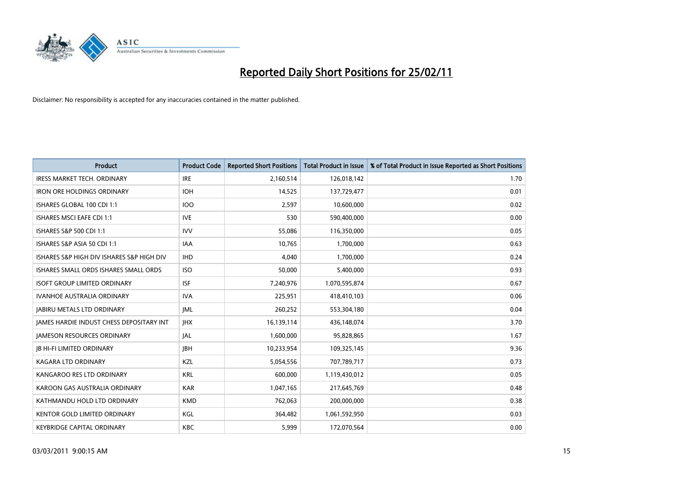

| Product                                         | <b>Product Code</b> | <b>Reported Short Positions</b> | <b>Total Product in Issue</b> | % of Total Product in Issue Reported as Short Positions |
|-------------------------------------------------|---------------------|---------------------------------|-------------------------------|---------------------------------------------------------|
| <b>IRESS MARKET TECH. ORDINARY</b>              | <b>IRE</b>          | 2,160,514                       | 126,018,142                   | 1.70                                                    |
| <b>IRON ORE HOLDINGS ORDINARY</b>               | <b>IOH</b>          | 14,525                          | 137,729,477                   | 0.01                                                    |
| ISHARES GLOBAL 100 CDI 1:1                      | <b>IOO</b>          | 2,597                           | 10,600,000                    | 0.02                                                    |
| ISHARES MSCI EAFE CDI 1:1                       | <b>IVE</b>          | 530                             | 590,400,000                   | 0.00                                                    |
| ISHARES S&P 500 CDI 1:1                         | <b>IVV</b>          | 55,086                          | 116,350,000                   | 0.05                                                    |
| ISHARES S&P ASIA 50 CDI 1:1                     | <b>IAA</b>          | 10,765                          | 1,700,000                     | 0.63                                                    |
| ISHARES S&P HIGH DIV ISHARES S&P HIGH DIV       | <b>IHD</b>          | 4,040                           | 1,700,000                     | 0.24                                                    |
| ISHARES SMALL ORDS ISHARES SMALL ORDS           | <b>ISO</b>          | 50,000                          | 5,400,000                     | 0.93                                                    |
| <b>ISOFT GROUP LIMITED ORDINARY</b>             | <b>ISF</b>          | 7,240,976                       | 1,070,595,874                 | 0.67                                                    |
| <b>IVANHOE AUSTRALIA ORDINARY</b>               | <b>IVA</b>          | 225,951                         | 418,410,103                   | 0.06                                                    |
| <b>JABIRU METALS LTD ORDINARY</b>               | IML                 | 260,252                         | 553,304,180                   | 0.04                                                    |
| <b>JAMES HARDIE INDUST CHESS DEPOSITARY INT</b> | <b>IHX</b>          | 16,139,114                      | 436,148,074                   | 3.70                                                    |
| <b>JAMESON RESOURCES ORDINARY</b>               | <b>JAL</b>          | 1,600,000                       | 95,828,865                    | 1.67                                                    |
| <b>JB HI-FI LIMITED ORDINARY</b>                | <b>IBH</b>          | 10,233,954                      | 109,325,145                   | 9.36                                                    |
| <b>KAGARA LTD ORDINARY</b>                      | KZL                 | 5,054,556                       | 707,789,717                   | 0.73                                                    |
| KANGAROO RES LTD ORDINARY                       | <b>KRL</b>          | 600.000                         | 1,119,430,012                 | 0.05                                                    |
| KAROON GAS AUSTRALIA ORDINARY                   | <b>KAR</b>          | 1,047,165                       | 217,645,769                   | 0.48                                                    |
| KATHMANDU HOLD LTD ORDINARY                     | <b>KMD</b>          | 762,063                         | 200,000,000                   | 0.38                                                    |
| KENTOR GOLD LIMITED ORDINARY                    | KGL                 | 364,482                         | 1,061,592,950                 | 0.03                                                    |
| <b>KEYBRIDGE CAPITAL ORDINARY</b>               | KBC                 | 5,999                           | 172,070,564                   | 0.00                                                    |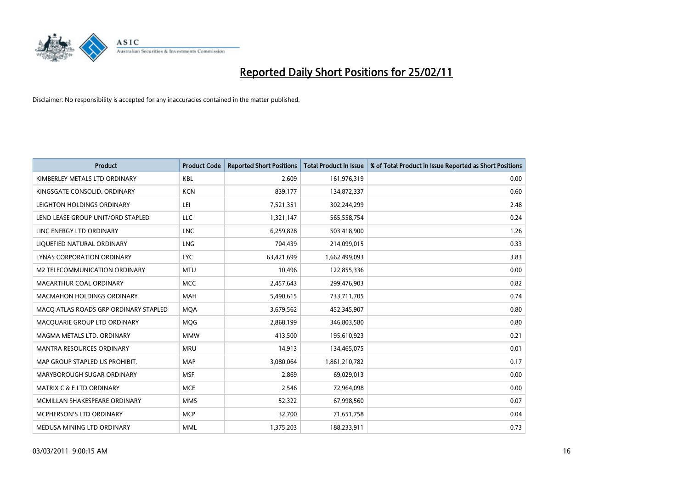

| <b>Product</b>                        | <b>Product Code</b> | <b>Reported Short Positions</b> | Total Product in Issue | % of Total Product in Issue Reported as Short Positions |
|---------------------------------------|---------------------|---------------------------------|------------------------|---------------------------------------------------------|
| KIMBERLEY METALS LTD ORDINARY         | <b>KBL</b>          | 2,609                           | 161,976,319            | 0.00                                                    |
| KINGSGATE CONSOLID, ORDINARY          | <b>KCN</b>          | 839,177                         | 134,872,337            | 0.60                                                    |
| LEIGHTON HOLDINGS ORDINARY            | LEI                 | 7,521,351                       | 302,244,299            | 2.48                                                    |
| LEND LEASE GROUP UNIT/ORD STAPLED     | LLC                 | 1,321,147                       | 565,558,754            | 0.24                                                    |
| LINC ENERGY LTD ORDINARY              | <b>LNC</b>          | 6,259,828                       | 503,418,900            | 1.26                                                    |
| LIQUEFIED NATURAL ORDINARY            | <b>LNG</b>          | 704,439                         | 214,099,015            | 0.33                                                    |
| <b>LYNAS CORPORATION ORDINARY</b>     | <b>LYC</b>          | 63,421,699                      | 1,662,499,093          | 3.83                                                    |
| M2 TELECOMMUNICATION ORDINARY         | <b>MTU</b>          | 10,496                          | 122,855,336            | 0.00                                                    |
| MACARTHUR COAL ORDINARY               | <b>MCC</b>          | 2,457,643                       | 299,476,903            | 0.82                                                    |
| <b>MACMAHON HOLDINGS ORDINARY</b>     | <b>MAH</b>          | 5,490,615                       | 733,711,705            | 0.74                                                    |
| MACO ATLAS ROADS GRP ORDINARY STAPLED | <b>MOA</b>          | 3,679,562                       | 452,345,907            | 0.80                                                    |
| MACQUARIE GROUP LTD ORDINARY          | MQG                 | 2,868,199                       | 346,803,580            | 0.80                                                    |
| MAGMA METALS LTD. ORDINARY            | <b>MMW</b>          | 413.500                         | 195,610,923            | 0.21                                                    |
| <b>MANTRA RESOURCES ORDINARY</b>      | <b>MRU</b>          | 14,913                          | 134,465,075            | 0.01                                                    |
| MAP GROUP STAPLED US PROHIBIT.        | <b>MAP</b>          | 3,080,064                       | 1,861,210,782          | 0.17                                                    |
| MARYBOROUGH SUGAR ORDINARY            | <b>MSF</b>          | 2,869                           | 69,029,013             | 0.00                                                    |
| <b>MATRIX C &amp; E LTD ORDINARY</b>  | <b>MCE</b>          | 2,546                           | 72,964,098             | 0.00                                                    |
| MCMILLAN SHAKESPEARE ORDINARY         | <b>MMS</b>          | 52,322                          | 67,998,560             | 0.07                                                    |
| MCPHERSON'S LTD ORDINARY              | <b>MCP</b>          | 32,700                          | 71,651,758             | 0.04                                                    |
| MEDUSA MINING LTD ORDINARY            | <b>MML</b>          | 1,375,203                       | 188,233,911            | 0.73                                                    |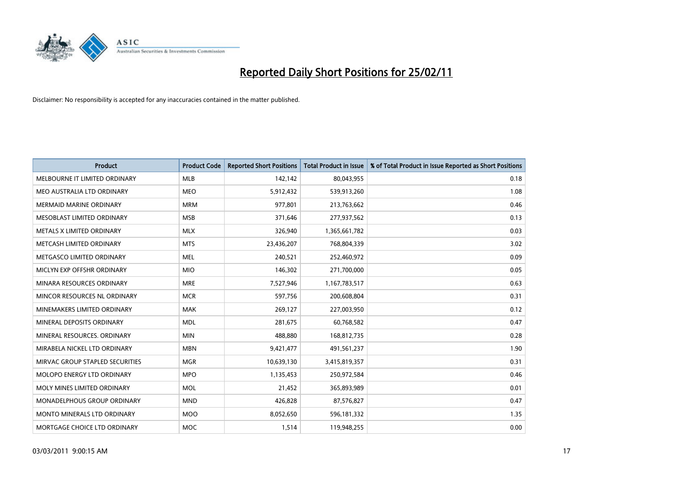

| <b>Product</b>                  | <b>Product Code</b> | <b>Reported Short Positions</b> | <b>Total Product in Issue</b> | % of Total Product in Issue Reported as Short Positions |
|---------------------------------|---------------------|---------------------------------|-------------------------------|---------------------------------------------------------|
| MELBOURNE IT LIMITED ORDINARY   | <b>MLB</b>          | 142,142                         | 80,043,955                    | 0.18                                                    |
| MEO AUSTRALIA LTD ORDINARY      | <b>MEO</b>          | 5,912,432                       | 539,913,260                   | 1.08                                                    |
| <b>MERMAID MARINE ORDINARY</b>  | <b>MRM</b>          | 977,801                         | 213,763,662                   | 0.46                                                    |
| MESOBLAST LIMITED ORDINARY      | <b>MSB</b>          | 371,646                         | 277,937,562                   | 0.13                                                    |
| METALS X LIMITED ORDINARY       | <b>MLX</b>          | 326,940                         | 1,365,661,782                 | 0.03                                                    |
| METCASH LIMITED ORDINARY        | <b>MTS</b>          | 23,436,207                      | 768,804,339                   | 3.02                                                    |
| METGASCO LIMITED ORDINARY       | <b>MEL</b>          | 240,521                         | 252,460,972                   | 0.09                                                    |
| MICLYN EXP OFFSHR ORDINARY      | <b>MIO</b>          | 146,302                         | 271,700,000                   | 0.05                                                    |
| MINARA RESOURCES ORDINARY       | <b>MRE</b>          | 7,527,946                       | 1,167,783,517                 | 0.63                                                    |
| MINCOR RESOURCES NL ORDINARY    | <b>MCR</b>          | 597,756                         | 200,608,804                   | 0.31                                                    |
| MINEMAKERS LIMITED ORDINARY     | <b>MAK</b>          | 269,127                         | 227,003,950                   | 0.12                                                    |
| MINERAL DEPOSITS ORDINARY       | <b>MDL</b>          | 281,675                         | 60,768,582                    | 0.47                                                    |
| MINERAL RESOURCES. ORDINARY     | <b>MIN</b>          | 488,880                         | 168,812,735                   | 0.28                                                    |
| MIRABELA NICKEL LTD ORDINARY    | <b>MBN</b>          | 9,421,477                       | 491,561,237                   | 1.90                                                    |
| MIRVAC GROUP STAPLED SECURITIES | <b>MGR</b>          | 10,639,130                      | 3,415,819,357                 | 0.31                                                    |
| MOLOPO ENERGY LTD ORDINARY      | <b>MPO</b>          | 1,135,453                       | 250,972,584                   | 0.46                                                    |
| MOLY MINES LIMITED ORDINARY     | <b>MOL</b>          | 21,452                          | 365,893,989                   | 0.01                                                    |
| MONADELPHOUS GROUP ORDINARY     | <b>MND</b>          | 426,828                         | 87,576,827                    | 0.47                                                    |
| MONTO MINERALS LTD ORDINARY     | <b>MOO</b>          | 8,052,650                       | 596,181,332                   | 1.35                                                    |
| MORTGAGE CHOICE LTD ORDINARY    | MOC                 | 1,514                           | 119,948,255                   | 0.00                                                    |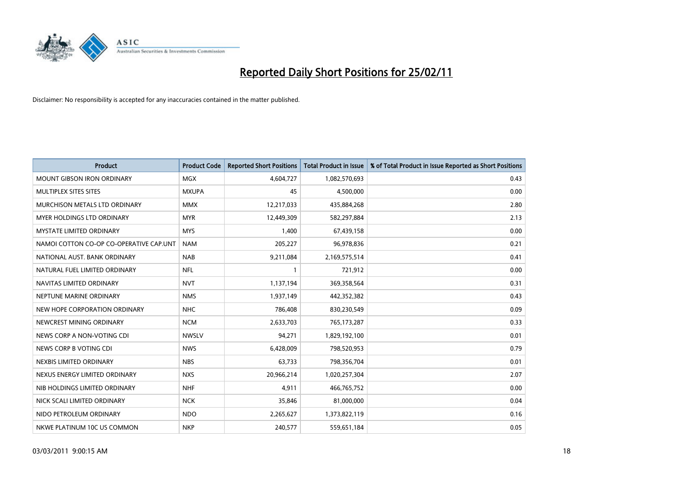

| Product                                 | <b>Product Code</b> | <b>Reported Short Positions</b> | <b>Total Product in Issue</b> | % of Total Product in Issue Reported as Short Positions |
|-----------------------------------------|---------------------|---------------------------------|-------------------------------|---------------------------------------------------------|
| <b>MOUNT GIBSON IRON ORDINARY</b>       | <b>MGX</b>          | 4,604,727                       | 1,082,570,693                 | 0.43                                                    |
| MULTIPLEX SITES SITES                   | <b>MXUPA</b>        | 45                              | 4,500,000                     | 0.00                                                    |
| MURCHISON METALS LTD ORDINARY           | <b>MMX</b>          | 12,217,033                      | 435,884,268                   | 2.80                                                    |
| <b>MYER HOLDINGS LTD ORDINARY</b>       | <b>MYR</b>          | 12,449,309                      | 582,297,884                   | 2.13                                                    |
| <b>MYSTATE LIMITED ORDINARY</b>         | <b>MYS</b>          | 1,400                           | 67,439,158                    | 0.00                                                    |
| NAMOI COTTON CO-OP CO-OPERATIVE CAP.UNT | <b>NAM</b>          | 205,227                         | 96,978,836                    | 0.21                                                    |
| NATIONAL AUST, BANK ORDINARY            | <b>NAB</b>          | 9,211,084                       | 2,169,575,514                 | 0.41                                                    |
| NATURAL FUEL LIMITED ORDINARY           | <b>NFL</b>          |                                 | 721,912                       | 0.00                                                    |
| NAVITAS LIMITED ORDINARY                | <b>NVT</b>          | 1,137,194                       | 369,358,564                   | 0.31                                                    |
| NEPTUNE MARINE ORDINARY                 | <b>NMS</b>          | 1,937,149                       | 442,352,382                   | 0.43                                                    |
| NEW HOPE CORPORATION ORDINARY           | <b>NHC</b>          | 786,408                         | 830,230,549                   | 0.09                                                    |
| NEWCREST MINING ORDINARY                | <b>NCM</b>          | 2,633,703                       | 765,173,287                   | 0.33                                                    |
| NEWS CORP A NON-VOTING CDI              | <b>NWSLV</b>        | 94,271                          | 1,829,192,100                 | 0.01                                                    |
| NEWS CORP B VOTING CDI                  | <b>NWS</b>          | 6,428,009                       | 798,520,953                   | 0.79                                                    |
| NEXBIS LIMITED ORDINARY                 | <b>NBS</b>          | 63,733                          | 798,356,704                   | 0.01                                                    |
| NEXUS ENERGY LIMITED ORDINARY           | <b>NXS</b>          | 20,966,214                      | 1,020,257,304                 | 2.07                                                    |
| NIB HOLDINGS LIMITED ORDINARY           | <b>NHF</b>          | 4,911                           | 466,765,752                   | 0.00                                                    |
| NICK SCALI LIMITED ORDINARY             | <b>NCK</b>          | 35,846                          | 81,000,000                    | 0.04                                                    |
| NIDO PETROLEUM ORDINARY                 | <b>NDO</b>          | 2,265,627                       | 1,373,822,119                 | 0.16                                                    |
| NKWE PLATINUM 10C US COMMON             | <b>NKP</b>          | 240,577                         | 559,651,184                   | 0.05                                                    |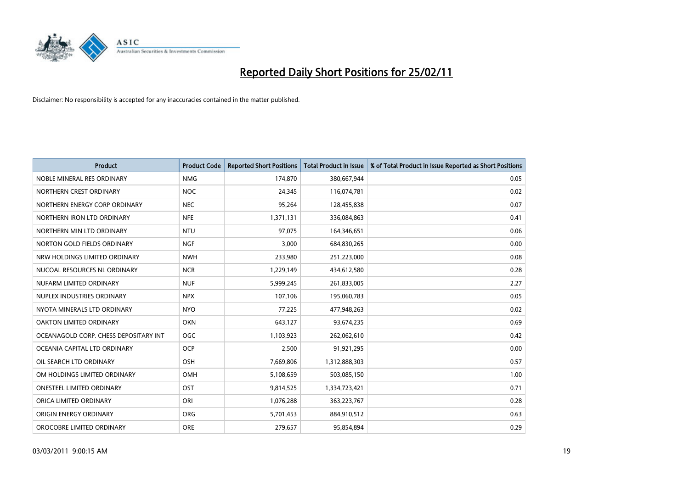

| <b>Product</b>                        | <b>Product Code</b> | <b>Reported Short Positions</b> | Total Product in Issue | % of Total Product in Issue Reported as Short Positions |
|---------------------------------------|---------------------|---------------------------------|------------------------|---------------------------------------------------------|
| NOBLE MINERAL RES ORDINARY            | <b>NMG</b>          | 174,870                         | 380,667,944            | 0.05                                                    |
| NORTHERN CREST ORDINARY               | <b>NOC</b>          | 24,345                          | 116,074,781            | 0.02                                                    |
| NORTHERN ENERGY CORP ORDINARY         | <b>NEC</b>          | 95,264                          | 128,455,838            | 0.07                                                    |
| NORTHERN IRON LTD ORDINARY            | <b>NFE</b>          | 1,371,131                       | 336,084,863            | 0.41                                                    |
| NORTHERN MIN LTD ORDINARY             | <b>NTU</b>          | 97.075                          | 164,346,651            | 0.06                                                    |
| NORTON GOLD FIELDS ORDINARY           | <b>NGF</b>          | 3,000                           | 684,830,265            | 0.00                                                    |
| NRW HOLDINGS LIMITED ORDINARY         | <b>NWH</b>          | 233,980                         | 251,223,000            | 0.08                                                    |
| NUCOAL RESOURCES NL ORDINARY          | <b>NCR</b>          | 1,229,149                       | 434,612,580            | 0.28                                                    |
| NUFARM LIMITED ORDINARY               | <b>NUF</b>          | 5,999,245                       | 261,833,005            | 2.27                                                    |
| NUPLEX INDUSTRIES ORDINARY            | <b>NPX</b>          | 107,106                         | 195,060,783            | 0.05                                                    |
| NYOTA MINERALS LTD ORDINARY           | <b>NYO</b>          | 77,225                          | 477,948,263            | 0.02                                                    |
| OAKTON LIMITED ORDINARY               | <b>OKN</b>          | 643,127                         | 93,674,235             | 0.69                                                    |
| OCEANAGOLD CORP. CHESS DEPOSITARY INT | <b>OGC</b>          | 1,103,923                       | 262,062,610            | 0.42                                                    |
| OCEANIA CAPITAL LTD ORDINARY          | <b>OCP</b>          | 2,500                           | 91,921,295             | 0.00                                                    |
| OIL SEARCH LTD ORDINARY               | <b>OSH</b>          | 7,669,806                       | 1,312,888,303          | 0.57                                                    |
| OM HOLDINGS LIMITED ORDINARY          | OMH                 | 5,108,659                       | 503,085,150            | 1.00                                                    |
| <b>ONESTEEL LIMITED ORDINARY</b>      | OST                 | 9,814,525                       | 1,334,723,421          | 0.71                                                    |
| ORICA LIMITED ORDINARY                | ORI                 | 1,076,288                       | 363,223,767            | 0.28                                                    |
| ORIGIN ENERGY ORDINARY                | <b>ORG</b>          | 5,701,453                       | 884,910,512            | 0.63                                                    |
| OROCOBRE LIMITED ORDINARY             | <b>ORE</b>          | 279,657                         | 95,854,894             | 0.29                                                    |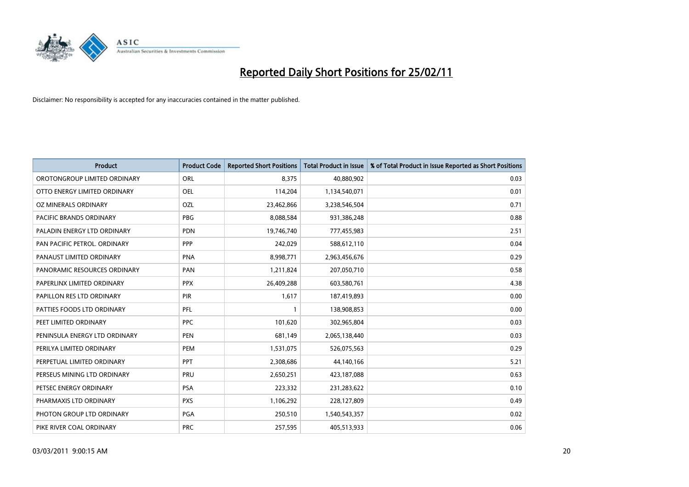

| Product                       | <b>Product Code</b> | <b>Reported Short Positions</b> | Total Product in Issue | % of Total Product in Issue Reported as Short Positions |
|-------------------------------|---------------------|---------------------------------|------------------------|---------------------------------------------------------|
| OROTONGROUP LIMITED ORDINARY  | <b>ORL</b>          | 8,375                           | 40,880,902             | 0.03                                                    |
| OTTO ENERGY LIMITED ORDINARY  | <b>OEL</b>          | 114,204                         | 1,134,540,071          | 0.01                                                    |
| OZ MINERALS ORDINARY          | OZL                 | 23,462,866                      | 3,238,546,504          | 0.71                                                    |
| PACIFIC BRANDS ORDINARY       | <b>PBG</b>          | 8,088,584                       | 931,386,248            | 0.88                                                    |
| PALADIN ENERGY LTD ORDINARY   | <b>PDN</b>          | 19,746,740                      | 777,455,983            | 2.51                                                    |
| PAN PACIFIC PETROL, ORDINARY  | PPP                 | 242,029                         | 588,612,110            | 0.04                                                    |
| PANAUST LIMITED ORDINARY      | <b>PNA</b>          | 8,998,771                       | 2,963,456,676          | 0.29                                                    |
| PANORAMIC RESOURCES ORDINARY  | PAN                 | 1,211,824                       | 207,050,710            | 0.58                                                    |
| PAPERLINX LIMITED ORDINARY    | <b>PPX</b>          | 26,409,288                      | 603,580,761            | 4.38                                                    |
| PAPILLON RES LTD ORDINARY     | PIR                 | 1,617                           | 187,419,893            | 0.00                                                    |
| PATTIES FOODS LTD ORDINARY    | PFL                 |                                 | 138,908,853            | 0.00                                                    |
| PEET LIMITED ORDINARY         | <b>PPC</b>          | 101,620                         | 302,965,804            | 0.03                                                    |
| PENINSULA ENERGY LTD ORDINARY | <b>PEN</b>          | 681,149                         | 2,065,138,440          | 0.03                                                    |
| PERILYA LIMITED ORDINARY      | PEM                 | 1,531,075                       | 526,075,563            | 0.29                                                    |
| PERPETUAL LIMITED ORDINARY    | PPT                 | 2,308,686                       | 44,140,166             | 5.21                                                    |
| PERSEUS MINING LTD ORDINARY   | PRU                 | 2,650,251                       | 423,187,088            | 0.63                                                    |
| PETSEC ENERGY ORDINARY        | <b>PSA</b>          | 223,332                         | 231,283,622            | 0.10                                                    |
| PHARMAXIS LTD ORDINARY        | <b>PXS</b>          | 1,106,292                       | 228,127,809            | 0.49                                                    |
| PHOTON GROUP LTD ORDINARY     | PGA                 | 250,510                         | 1,540,543,357          | 0.02                                                    |
| PIKE RIVER COAL ORDINARY      | <b>PRC</b>          | 257,595                         | 405,513,933            | 0.06                                                    |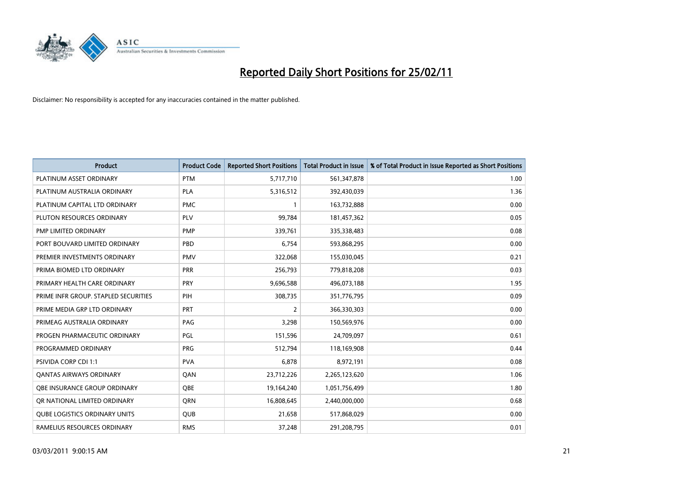

| <b>Product</b>                       | <b>Product Code</b> | <b>Reported Short Positions</b> | Total Product in Issue | % of Total Product in Issue Reported as Short Positions |
|--------------------------------------|---------------------|---------------------------------|------------------------|---------------------------------------------------------|
| PLATINUM ASSET ORDINARY              | <b>PTM</b>          | 5,717,710                       | 561,347,878            | 1.00                                                    |
| PLATINUM AUSTRALIA ORDINARY          | PLA                 | 5,316,512                       | 392,430,039            | 1.36                                                    |
| PLATINUM CAPITAL LTD ORDINARY        | <b>PMC</b>          |                                 | 163,732,888            | 0.00                                                    |
| PLUTON RESOURCES ORDINARY            | PLV                 | 99,784                          | 181,457,362            | 0.05                                                    |
| PMP LIMITED ORDINARY                 | <b>PMP</b>          | 339,761                         | 335,338,483            | 0.08                                                    |
| PORT BOUVARD LIMITED ORDINARY        | PBD                 | 6.754                           | 593,868,295            | 0.00                                                    |
| PREMIER INVESTMENTS ORDINARY         | <b>PMV</b>          | 322,068                         | 155,030,045            | 0.21                                                    |
| PRIMA BIOMED LTD ORDINARY            | <b>PRR</b>          | 256,793                         | 779,818,208            | 0.03                                                    |
| PRIMARY HEALTH CARE ORDINARY         | PRY                 | 9,696,588                       | 496,073,188            | 1.95                                                    |
| PRIME INFR GROUP. STAPLED SECURITIES | PIH                 | 308,735                         | 351,776,795            | 0.09                                                    |
| PRIME MEDIA GRP LTD ORDINARY         | <b>PRT</b>          | 2                               | 366,330,303            | 0.00                                                    |
| PRIMEAG AUSTRALIA ORDINARY           | PAG                 | 3,298                           | 150,569,976            | 0.00                                                    |
| PROGEN PHARMACEUTIC ORDINARY         | PGL                 | 151,596                         | 24,709,097             | 0.61                                                    |
| PROGRAMMED ORDINARY                  | <b>PRG</b>          | 512,794                         | 118,169,908            | 0.44                                                    |
| <b>PSIVIDA CORP CDI 1:1</b>          | <b>PVA</b>          | 6,878                           | 8,972,191              | 0.08                                                    |
| <b>QANTAS AIRWAYS ORDINARY</b>       | QAN                 | 23,712,226                      | 2,265,123,620          | 1.06                                                    |
| OBE INSURANCE GROUP ORDINARY         | <b>OBE</b>          | 19,164,240                      | 1,051,756,499          | 1.80                                                    |
| OR NATIONAL LIMITED ORDINARY         | <b>ORN</b>          | 16,808,645                      | 2,440,000,000          | 0.68                                                    |
| <b>QUBE LOGISTICS ORDINARY UNITS</b> | <b>QUB</b>          | 21,658                          | 517,868,029            | 0.00                                                    |
| RAMELIUS RESOURCES ORDINARY          | <b>RMS</b>          | 37,248                          | 291,208,795            | 0.01                                                    |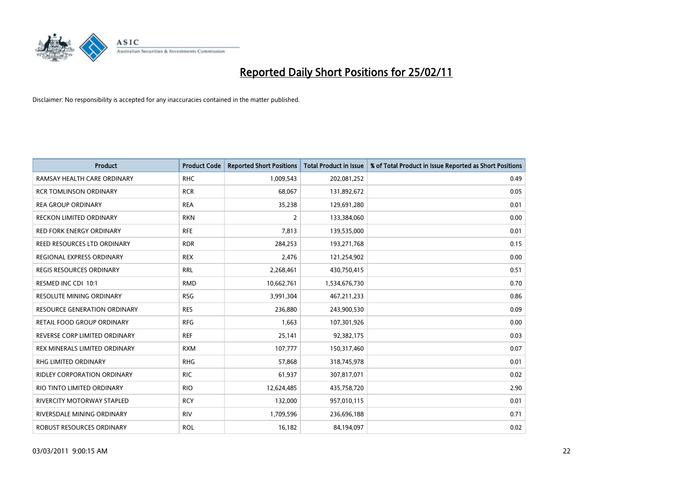

| Product                            | <b>Product Code</b> | <b>Reported Short Positions</b> | <b>Total Product in Issue</b> | % of Total Product in Issue Reported as Short Positions |
|------------------------------------|---------------------|---------------------------------|-------------------------------|---------------------------------------------------------|
| RAMSAY HEALTH CARE ORDINARY        | <b>RHC</b>          | 1,009,543                       | 202,081,252                   | 0.49                                                    |
| RCR TOMLINSON ORDINARY             | <b>RCR</b>          | 68,067                          | 131,892,672                   | 0.05                                                    |
| <b>REA GROUP ORDINARY</b>          | <b>REA</b>          | 35,238                          | 129,691,280                   | 0.01                                                    |
| <b>RECKON LIMITED ORDINARY</b>     | <b>RKN</b>          | 2                               | 133,384,060                   | 0.00                                                    |
| <b>RED FORK ENERGY ORDINARY</b>    | <b>RFE</b>          | 7,813                           | 139,535,000                   | 0.01                                                    |
| REED RESOURCES LTD ORDINARY        | <b>RDR</b>          | 284,253                         | 193,271,768                   | 0.15                                                    |
| REGIONAL EXPRESS ORDINARY          | <b>REX</b>          | 2,476                           | 121,254,902                   | 0.00                                                    |
| REGIS RESOURCES ORDINARY           | <b>RRL</b>          | 2,268,461                       | 430,750,415                   | 0.51                                                    |
| RESMED INC CDI 10:1                | <b>RMD</b>          | 10,662,761                      | 1,534,676,730                 | 0.70                                                    |
| <b>RESOLUTE MINING ORDINARY</b>    | <b>RSG</b>          | 3,991,304                       | 467,211,233                   | 0.86                                                    |
| RESOURCE GENERATION ORDINARY       | <b>RES</b>          | 236,880                         | 243,900,530                   | 0.09                                                    |
| RETAIL FOOD GROUP ORDINARY         | <b>RFG</b>          | 1,663                           | 107,301,926                   | 0.00                                                    |
| REVERSE CORP LIMITED ORDINARY      | <b>REF</b>          | 25,141                          | 92,382,175                    | 0.03                                                    |
| REX MINERALS LIMITED ORDINARY      | <b>RXM</b>          | 107,777                         | 150,317,460                   | 0.07                                                    |
| RHG LIMITED ORDINARY               | <b>RHG</b>          | 57,868                          | 318,745,978                   | 0.01                                                    |
| <b>RIDLEY CORPORATION ORDINARY</b> | <b>RIC</b>          | 61,937                          | 307,817,071                   | 0.02                                                    |
| RIO TINTO LIMITED ORDINARY         | <b>RIO</b>          | 12,624,485                      | 435,758,720                   | 2.90                                                    |
| <b>RIVERCITY MOTORWAY STAPLED</b>  | <b>RCY</b>          | 132,000                         | 957,010,115                   | 0.01                                                    |
| RIVERSDALE MINING ORDINARY         | <b>RIV</b>          | 1,709,596                       | 236,696,188                   | 0.71                                                    |
| ROBUST RESOURCES ORDINARY          | <b>ROL</b>          | 16,182                          | 84,194,097                    | 0.02                                                    |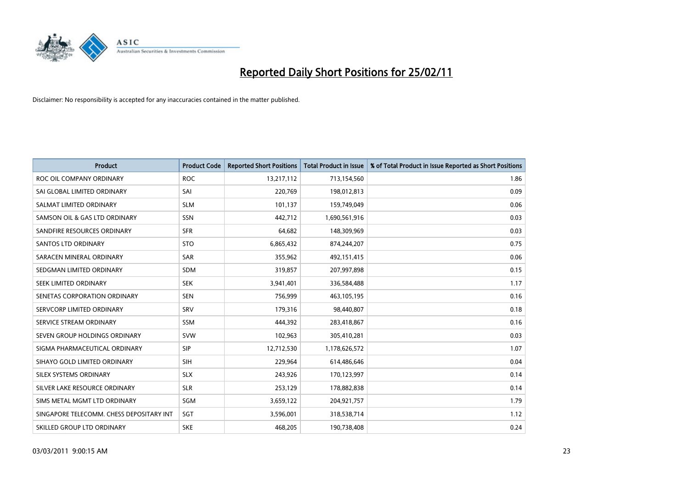

| <b>Product</b>                           | <b>Product Code</b> | <b>Reported Short Positions</b> | Total Product in Issue | % of Total Product in Issue Reported as Short Positions |
|------------------------------------------|---------------------|---------------------------------|------------------------|---------------------------------------------------------|
| ROC OIL COMPANY ORDINARY                 | <b>ROC</b>          | 13,217,112                      | 713,154,560            | 1.86                                                    |
| SAI GLOBAL LIMITED ORDINARY              | SAI                 | 220,769                         | 198,012,813            | 0.09                                                    |
| SALMAT LIMITED ORDINARY                  | <b>SLM</b>          | 101,137                         | 159,749,049            | 0.06                                                    |
| SAMSON OIL & GAS LTD ORDINARY            | <b>SSN</b>          | 442,712                         | 1,690,561,916          | 0.03                                                    |
| SANDFIRE RESOURCES ORDINARY              | <b>SFR</b>          | 64,682                          | 148,309,969            | 0.03                                                    |
| <b>SANTOS LTD ORDINARY</b>               | <b>STO</b>          | 6,865,432                       | 874,244,207            | 0.75                                                    |
| SARACEN MINERAL ORDINARY                 | <b>SAR</b>          | 355,962                         | 492,151,415            | 0.06                                                    |
| SEDGMAN LIMITED ORDINARY                 | <b>SDM</b>          | 319,857                         | 207,997,898            | 0.15                                                    |
| SEEK LIMITED ORDINARY                    | <b>SEK</b>          | 3,941,401                       | 336,584,488            | 1.17                                                    |
| SENETAS CORPORATION ORDINARY             | <b>SEN</b>          | 756,999                         | 463,105,195            | 0.16                                                    |
| SERVCORP LIMITED ORDINARY                | SRV                 | 179,316                         | 98,440,807             | 0.18                                                    |
| SERVICE STREAM ORDINARY                  | <b>SSM</b>          | 444,392                         | 283,418,867            | 0.16                                                    |
| SEVEN GROUP HOLDINGS ORDINARY            | <b>SVW</b>          | 102,963                         | 305,410,281            | 0.03                                                    |
| SIGMA PHARMACEUTICAL ORDINARY            | <b>SIP</b>          | 12,712,530                      | 1,178,626,572          | 1.07                                                    |
| SIHAYO GOLD LIMITED ORDINARY             | <b>SIH</b>          | 229,964                         | 614,486,646            | 0.04                                                    |
| SILEX SYSTEMS ORDINARY                   | <b>SLX</b>          | 243.926                         | 170,123,997            | 0.14                                                    |
| SILVER LAKE RESOURCE ORDINARY            | <b>SLR</b>          | 253,129                         | 178,882,838            | 0.14                                                    |
| SIMS METAL MGMT LTD ORDINARY             | <b>SGM</b>          | 3,659,122                       | 204,921,757            | 1.79                                                    |
| SINGAPORE TELECOMM. CHESS DEPOSITARY INT | SGT                 | 3,596,001                       | 318,538,714            | 1.12                                                    |
| SKILLED GROUP LTD ORDINARY               | <b>SKE</b>          | 468,205                         | 190,738,408            | 0.24                                                    |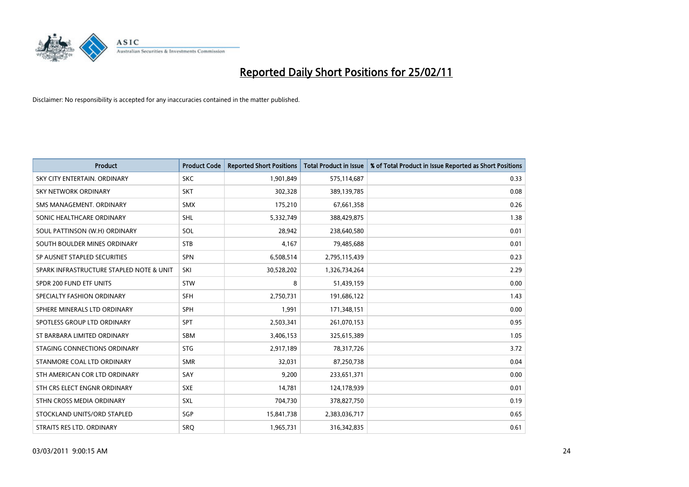

| Product                                  | <b>Product Code</b> | <b>Reported Short Positions</b> | <b>Total Product in Issue</b> | % of Total Product in Issue Reported as Short Positions |
|------------------------------------------|---------------------|---------------------------------|-------------------------------|---------------------------------------------------------|
| SKY CITY ENTERTAIN, ORDINARY             | <b>SKC</b>          | 1,901,849                       | 575,114,687                   | 0.33                                                    |
| SKY NETWORK ORDINARY                     | <b>SKT</b>          | 302,328                         | 389,139,785                   | 0.08                                                    |
| SMS MANAGEMENT, ORDINARY                 | <b>SMX</b>          | 175,210                         | 67,661,358                    | 0.26                                                    |
| SONIC HEALTHCARE ORDINARY                | <b>SHL</b>          | 5,332,749                       | 388,429,875                   | 1.38                                                    |
| SOUL PATTINSON (W.H) ORDINARY            | SOL                 | 28,942                          | 238,640,580                   | 0.01                                                    |
| SOUTH BOULDER MINES ORDINARY             | <b>STB</b>          | 4,167                           | 79,485,688                    | 0.01                                                    |
| SP AUSNET STAPLED SECURITIES             | SPN                 | 6,508,514                       | 2,795,115,439                 | 0.23                                                    |
| SPARK INFRASTRUCTURE STAPLED NOTE & UNIT | SKI                 | 30,528,202                      | 1,326,734,264                 | 2.29                                                    |
| SPDR 200 FUND ETF UNITS                  | <b>STW</b>          | 8                               | 51,439,159                    | 0.00                                                    |
| SPECIALTY FASHION ORDINARY               | <b>SFH</b>          | 2,750,731                       | 191,686,122                   | 1.43                                                    |
| SPHERE MINERALS LTD ORDINARY             | <b>SPH</b>          | 1,991                           | 171,348,151                   | 0.00                                                    |
| SPOTLESS GROUP LTD ORDINARY              | <b>SPT</b>          | 2,503,341                       | 261,070,153                   | 0.95                                                    |
| ST BARBARA LIMITED ORDINARY              | <b>SBM</b>          | 3,406,153                       | 325,615,389                   | 1.05                                                    |
| STAGING CONNECTIONS ORDINARY             | <b>STG</b>          | 2,917,189                       | 78,317,726                    | 3.72                                                    |
| STANMORE COAL LTD ORDINARY               | <b>SMR</b>          | 32,031                          | 87,250,738                    | 0.04                                                    |
| STH AMERICAN COR LTD ORDINARY            | SAY                 | 9.200                           | 233,651,371                   | 0.00                                                    |
| STH CRS ELECT ENGNR ORDINARY             | <b>SXE</b>          | 14,781                          | 124,178,939                   | 0.01                                                    |
| STHN CROSS MEDIA ORDINARY                | SXL                 | 704,730                         | 378,827,750                   | 0.19                                                    |
| STOCKLAND UNITS/ORD STAPLED              | SGP                 | 15,841,738                      | 2,383,036,717                 | 0.65                                                    |
| STRAITS RES LTD. ORDINARY                | SRO                 | 1,965,731                       | 316,342,835                   | 0.61                                                    |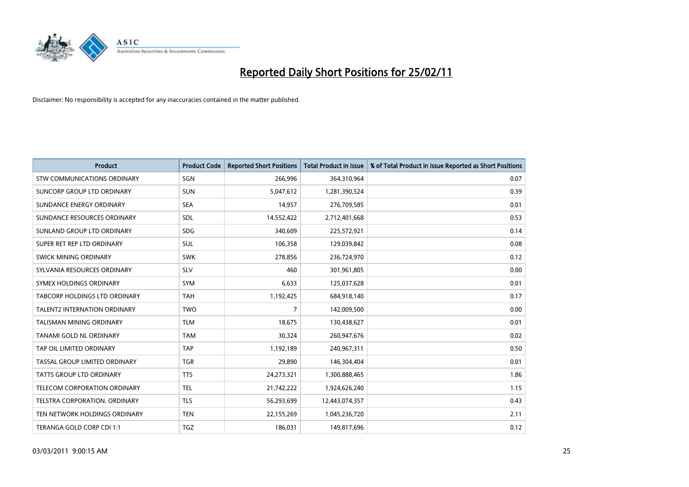

| <b>Product</b>                      | <b>Product Code</b> | <b>Reported Short Positions</b> | <b>Total Product in Issue</b> | % of Total Product in Issue Reported as Short Positions |
|-------------------------------------|---------------------|---------------------------------|-------------------------------|---------------------------------------------------------|
| <b>STW COMMUNICATIONS ORDINARY</b>  | SGN                 | 266,996                         | 364,310,964                   | 0.07                                                    |
| SUNCORP GROUP LTD ORDINARY          | <b>SUN</b>          | 5,047,612                       | 1,281,390,524                 | 0.39                                                    |
| SUNDANCE ENERGY ORDINARY            | <b>SEA</b>          | 14,957                          | 276,709,585                   | 0.01                                                    |
| SUNDANCE RESOURCES ORDINARY         | SDL                 | 14,552,422                      | 2,712,401,668                 | 0.53                                                    |
| SUNLAND GROUP LTD ORDINARY          | <b>SDG</b>          | 340,609                         | 225,572,921                   | 0.14                                                    |
| SUPER RET REP LTD ORDINARY          | <b>SUL</b>          | 106,358                         | 129,039,842                   | 0.08                                                    |
| SWICK MINING ORDINARY               | <b>SWK</b>          | 278,856                         | 236,724,970                   | 0.12                                                    |
| SYLVANIA RESOURCES ORDINARY         | <b>SLV</b>          | 460                             | 301,961,805                   | 0.00                                                    |
| SYMEX HOLDINGS ORDINARY             | <b>SYM</b>          | 6,633                           | 125,037,628                   | 0.01                                                    |
| TABCORP HOLDINGS LTD ORDINARY       | <b>TAH</b>          | 1,192,425                       | 684,918,140                   | 0.17                                                    |
| <b>TALENT2 INTERNATION ORDINARY</b> | <b>TWO</b>          | 7                               | 142,009,500                   | 0.00                                                    |
| <b>TALISMAN MINING ORDINARY</b>     | <b>TLM</b>          | 18,675                          | 130,438,627                   | 0.01                                                    |
| <b>TANAMI GOLD NL ORDINARY</b>      | <b>TAM</b>          | 30,324                          | 260,947,676                   | 0.02                                                    |
| TAP OIL LIMITED ORDINARY            | <b>TAP</b>          | 1,192,189                       | 240,967,311                   | 0.50                                                    |
| TASSAL GROUP LIMITED ORDINARY       | <b>TGR</b>          | 29,890                          | 146,304,404                   | 0.01                                                    |
| <b>TATTS GROUP LTD ORDINARY</b>     | <b>TTS</b>          | 24,273,321                      | 1,300,888,465                 | 1.86                                                    |
| TELECOM CORPORATION ORDINARY        | <b>TEL</b>          | 21,742,222                      | 1,924,626,240                 | 1.15                                                    |
| TELSTRA CORPORATION. ORDINARY       | <b>TLS</b>          | 56,293,699                      | 12,443,074,357                | 0.43                                                    |
| TEN NETWORK HOLDINGS ORDINARY       | <b>TEN</b>          | 22,155,269                      | 1,045,236,720                 | 2.11                                                    |
| TERANGA GOLD CORP CDI 1:1           | TGZ                 | 186,031                         | 149,817,696                   | 0.12                                                    |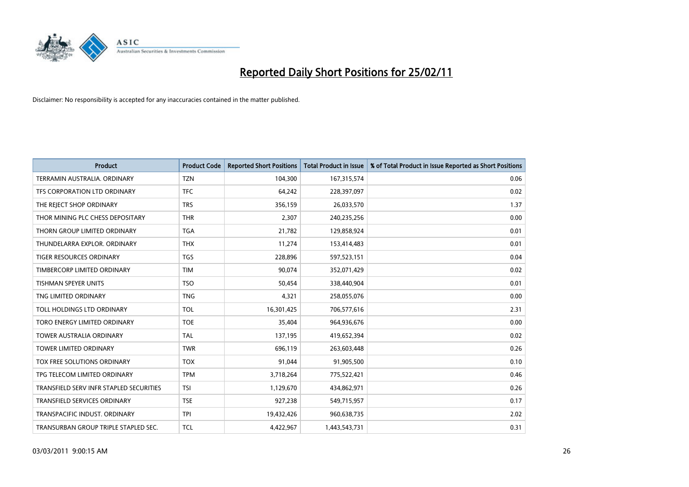

| <b>Product</b>                          | <b>Product Code</b> | <b>Reported Short Positions</b> | <b>Total Product in Issue</b> | % of Total Product in Issue Reported as Short Positions |
|-----------------------------------------|---------------------|---------------------------------|-------------------------------|---------------------------------------------------------|
| TERRAMIN AUSTRALIA, ORDINARY            | <b>TZN</b>          | 104,300                         | 167,315,574                   | 0.06                                                    |
| TFS CORPORATION LTD ORDINARY            | <b>TFC</b>          | 64,242                          | 228,397,097                   | 0.02                                                    |
| THE REJECT SHOP ORDINARY                | <b>TRS</b>          | 356,159                         | 26,033,570                    | 1.37                                                    |
| THOR MINING PLC CHESS DEPOSITARY        | <b>THR</b>          | 2,307                           | 240,235,256                   | 0.00                                                    |
| THORN GROUP LIMITED ORDINARY            | <b>TGA</b>          | 21,782                          | 129,858,924                   | 0.01                                                    |
| THUNDELARRA EXPLOR, ORDINARY            | <b>THX</b>          | 11,274                          | 153,414,483                   | 0.01                                                    |
| <b>TIGER RESOURCES ORDINARY</b>         | <b>TGS</b>          | 228,896                         | 597,523,151                   | 0.04                                                    |
| TIMBERCORP LIMITED ORDINARY             | <b>TIM</b>          | 90,074                          | 352,071,429                   | 0.02                                                    |
| TISHMAN SPEYER UNITS                    | <b>TSO</b>          | 50,454                          | 338,440,904                   | 0.01                                                    |
| TNG LIMITED ORDINARY                    | <b>TNG</b>          | 4,321                           | 258,055,076                   | 0.00                                                    |
| TOLL HOLDINGS LTD ORDINARY              | <b>TOL</b>          | 16,301,425                      | 706,577,616                   | 2.31                                                    |
| TORO ENERGY LIMITED ORDINARY            | <b>TOE</b>          | 35,404                          | 964,936,676                   | 0.00                                                    |
| <b>TOWER AUSTRALIA ORDINARY</b>         | <b>TAL</b>          | 137,195                         | 419,652,394                   | 0.02                                                    |
| <b>TOWER LIMITED ORDINARY</b>           | <b>TWR</b>          | 696,119                         | 263,603,448                   | 0.26                                                    |
| TOX FREE SOLUTIONS ORDINARY             | <b>TOX</b>          | 91,044                          | 91,905,500                    | 0.10                                                    |
| TPG TELECOM LIMITED ORDINARY            | <b>TPM</b>          | 3,718,264                       | 775,522,421                   | 0.46                                                    |
| TRANSFIELD SERV INFR STAPLED SECURITIES | <b>TSI</b>          | 1,129,670                       | 434,862,971                   | 0.26                                                    |
| TRANSFIELD SERVICES ORDINARY            | <b>TSE</b>          | 927,238                         | 549,715,957                   | 0.17                                                    |
| TRANSPACIFIC INDUST, ORDINARY           | <b>TPI</b>          | 19,432,426                      | 960,638,735                   | 2.02                                                    |
| TRANSURBAN GROUP TRIPLE STAPLED SEC.    | <b>TCL</b>          | 4.422.967                       | 1,443,543,731                 | 0.31                                                    |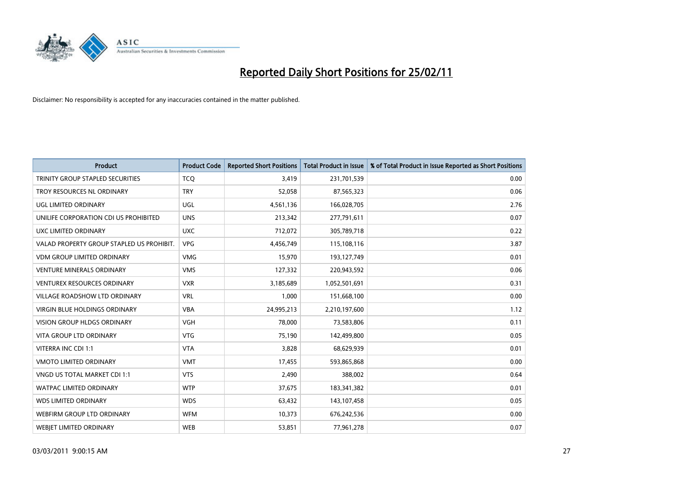

| <b>Product</b>                            | <b>Product Code</b> | <b>Reported Short Positions</b> | Total Product in Issue | % of Total Product in Issue Reported as Short Positions |
|-------------------------------------------|---------------------|---------------------------------|------------------------|---------------------------------------------------------|
| <b>TRINITY GROUP STAPLED SECURITIES</b>   | <b>TCQ</b>          | 3,419                           | 231,701,539            | 0.00                                                    |
| TROY RESOURCES NL ORDINARY                | <b>TRY</b>          | 52,058                          | 87,565,323             | 0.06                                                    |
| <b>UGL LIMITED ORDINARY</b>               | <b>UGL</b>          | 4,561,136                       | 166,028,705            | 2.76                                                    |
| UNILIFE CORPORATION CDI US PROHIBITED     | <b>UNS</b>          | 213,342                         | 277,791,611            | 0.07                                                    |
| UXC LIMITED ORDINARY                      | <b>UXC</b>          | 712,072                         | 305,789,718            | 0.22                                                    |
| VALAD PROPERTY GROUP STAPLED US PROHIBIT. | <b>VPG</b>          | 4,456,749                       | 115,108,116            | 3.87                                                    |
| <b>VDM GROUP LIMITED ORDINARY</b>         | <b>VMG</b>          | 15,970                          | 193,127,749            | 0.01                                                    |
| <b>VENTURE MINERALS ORDINARY</b>          | <b>VMS</b>          | 127,332                         | 220,943,592            | 0.06                                                    |
| <b>VENTUREX RESOURCES ORDINARY</b>        | <b>VXR</b>          | 3,185,689                       | 1,052,501,691          | 0.31                                                    |
| <b>VILLAGE ROADSHOW LTD ORDINARY</b>      | <b>VRL</b>          | 1,000                           | 151,668,100            | 0.00                                                    |
| VIRGIN BLUE HOLDINGS ORDINARY             | <b>VBA</b>          | 24,995,213                      | 2,210,197,600          | 1.12                                                    |
| <b>VISION GROUP HLDGS ORDINARY</b>        | <b>VGH</b>          | 78.000                          | 73,583,806             | 0.11                                                    |
| <b>VITA GROUP LTD ORDINARY</b>            | <b>VTG</b>          | 75,190                          | 142,499,800            | 0.05                                                    |
| VITERRA INC CDI 1:1                       | <b>VTA</b>          | 3,828                           | 68,629,939             | 0.01                                                    |
| <b>VMOTO LIMITED ORDINARY</b>             | <b>VMT</b>          | 17,455                          | 593,865,868            | 0.00                                                    |
| VNGD US TOTAL MARKET CDI 1:1              | <b>VTS</b>          | 2,490                           | 388,002                | 0.64                                                    |
| WATPAC LIMITED ORDINARY                   | <b>WTP</b>          | 37,675                          | 183,341,382            | 0.01                                                    |
| <b>WDS LIMITED ORDINARY</b>               | <b>WDS</b>          | 63,432                          | 143,107,458            | 0.05                                                    |
| WEBFIRM GROUP LTD ORDINARY                | <b>WFM</b>          | 10,373                          | 676,242,536            | 0.00                                                    |
| WEBJET LIMITED ORDINARY                   | <b>WEB</b>          | 53,851                          | 77,961,278             | 0.07                                                    |